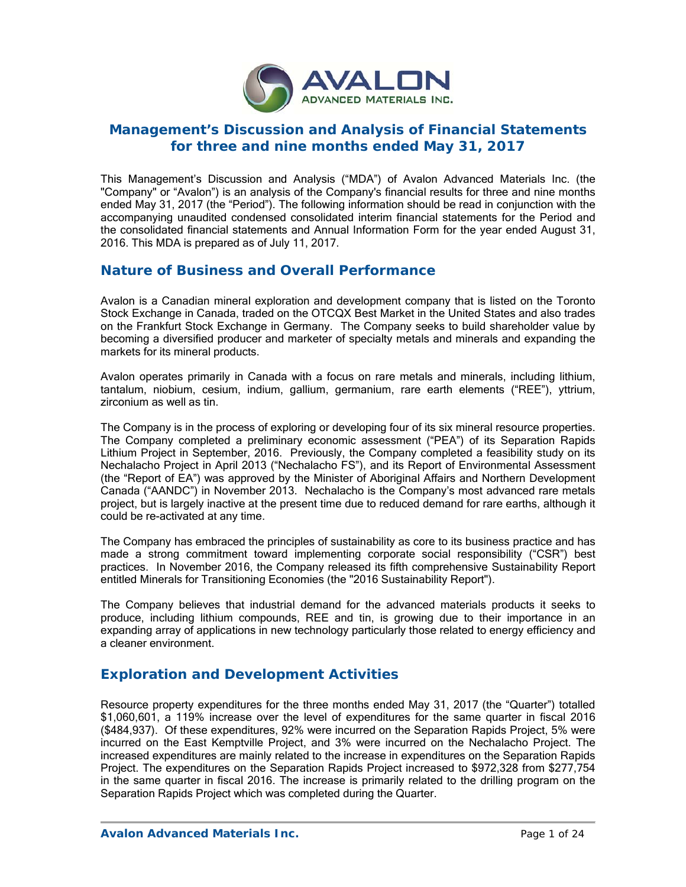

# **Management's Discussion and Analysis of Financial Statements for three and nine months ended May 31, 2017**

This Management's Discussion and Analysis ("MDA") of Avalon Advanced Materials Inc. (the "Company" or "Avalon") is an analysis of the Company's financial results for three and nine months ended May 31, 2017 (the "Period"). The following information should be read in conjunction with the accompanying unaudited condensed consolidated interim financial statements for the Period and the consolidated financial statements and Annual Information Form for the year ended August 31, 2016. This MDA is prepared as of July 11, 2017.

## **Nature of Business and Overall Performance**

Avalon is a Canadian mineral exploration and development company that is listed on the Toronto Stock Exchange in Canada, traded on the OTCQX Best Market in the United States and also trades on the Frankfurt Stock Exchange in Germany. The Company seeks to build shareholder value by becoming a diversified producer and marketer of specialty metals and minerals and expanding the markets for its mineral products.

Avalon operates primarily in Canada with a focus on rare metals and minerals, including lithium, tantalum, niobium, cesium, indium, gallium, germanium, rare earth elements ("REE"), yttrium, zirconium as well as tin.

The Company is in the process of exploring or developing four of its six mineral resource properties. The Company completed a preliminary economic assessment ("PEA") of its Separation Rapids Lithium Project in September, 2016. Previously, the Company completed a feasibility study on its Nechalacho Project in April 2013 ("Nechalacho FS"), and its Report of Environmental Assessment (the "Report of EA") was approved by the Minister of Aboriginal Affairs and Northern Development Canada ("AANDC") in November 2013. Nechalacho is the Company's most advanced rare metals project, but is largely inactive at the present time due to reduced demand for rare earths, although it could be re-activated at any time.

The Company has embraced the principles of sustainability as core to its business practice and has made a strong commitment toward implementing corporate social responsibility ("CSR") best practices. In November 2016, the Company released its fifth comprehensive Sustainability Report entitled Minerals for Transitioning Economies (the "2016 Sustainability Report").

The Company believes that industrial demand for the advanced materials products it seeks to produce, including lithium compounds, REE and tin, is growing due to their importance in an expanding array of applications in new technology particularly those related to energy efficiency and a cleaner environment.

# **Exploration and Development Activities**

Resource property expenditures for the three months ended May 31, 2017 (the "Quarter") totalled \$1,060,601, a 119% increase over the level of expenditures for the same quarter in fiscal 2016 (\$484,937). Of these expenditures, 92% were incurred on the Separation Rapids Project, 5% were incurred on the East Kemptville Project, and 3% were incurred on the Nechalacho Project. The increased expenditures are mainly related to the increase in expenditures on the Separation Rapids Project. The expenditures on the Separation Rapids Project increased to \$972,328 from \$277,754 in the same quarter in fiscal 2016. The increase is primarily related to the drilling program on the Separation Rapids Project which was completed during the Quarter.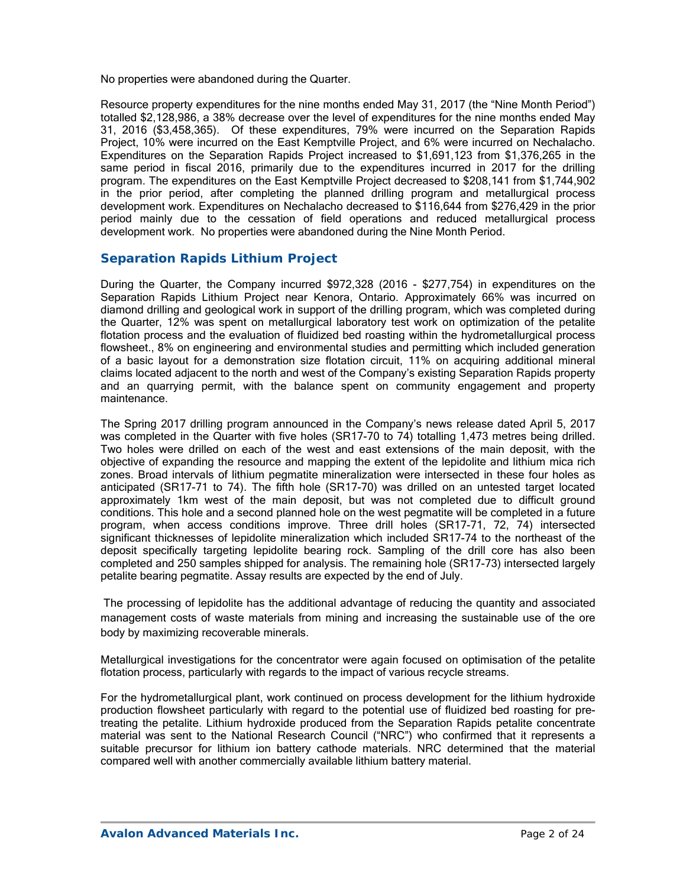No properties were abandoned during the Quarter.

Resource property expenditures for the nine months ended May 31, 2017 (the "Nine Month Period") totalled \$2,128,986, a 38% decrease over the level of expenditures for the nine months ended May 31, 2016 (\$3,458,365). Of these expenditures, 79% were incurred on the Separation Rapids Project, 10% were incurred on the East Kemptville Project, and 6% were incurred on Nechalacho. Expenditures on the Separation Rapids Project increased to \$1,691,123 from \$1,376,265 in the same period in fiscal 2016, primarily due to the expenditures incurred in 2017 for the drilling program. The expenditures on the East Kemptville Project decreased to \$208,141 from \$1,744,902 in the prior period, after completing the planned drilling program and metallurgical process development work. Expenditures on Nechalacho decreased to \$116,644 from \$276,429 in the prior period mainly due to the cessation of field operations and reduced metallurgical process development work. No properties were abandoned during the Nine Month Period.

### *Separation Rapids Lithium Project*

During the Quarter, the Company incurred \$972,328 (2016 - \$277,754) in expenditures on the Separation Rapids Lithium Project near Kenora, Ontario. Approximately 66% was incurred on diamond drilling and geological work in support of the drilling program, which was completed during the Quarter, 12% was spent on metallurgical laboratory test work on optimization of the petalite flotation process and the evaluation of fluidized bed roasting within the hydrometallurgical process flowsheet., 8% on engineering and environmental studies and permitting which included generation of a basic layout for a demonstration size flotation circuit, 11% on acquiring additional mineral claims located adjacent to the north and west of the Company's existing Separation Rapids property and an quarrying permit, with the balance spent on community engagement and property maintenance.

The Spring 2017 drilling program announced in the Company's news release dated April 5, 2017 was completed in the Quarter with five holes (SR17-70 to 74) totalling 1,473 metres being drilled. Two holes were drilled on each of the west and east extensions of the main deposit, with the objective of expanding the resource and mapping the extent of the lepidolite and lithium mica rich zones. Broad intervals of lithium pegmatite mineralization were intersected in these four holes as anticipated (SR17-71 to 74). The fifth hole (SR17-70) was drilled on an untested target located approximately 1km west of the main deposit, but was not completed due to difficult ground conditions. This hole and a second planned hole on the west pegmatite will be completed in a future program, when access conditions improve. Three drill holes (SR17-71, 72, 74) intersected significant thicknesses of lepidolite mineralization which included SR17-74 to the northeast of the deposit specifically targeting lepidolite bearing rock. Sampling of the drill core has also been completed and 250 samples shipped for analysis. The remaining hole (SR17-73) intersected largely petalite bearing pegmatite. Assay results are expected by the end of July.

 The processing of lepidolite has the additional advantage of reducing the quantity and associated management costs of waste materials from mining and increasing the sustainable use of the ore body by maximizing recoverable minerals.

Metallurgical investigations for the concentrator were again focused on optimisation of the petalite flotation process, particularly with regards to the impact of various recycle streams.

For the hydrometallurgical plant, work continued on process development for the lithium hydroxide production flowsheet particularly with regard to the potential use of fluidized bed roasting for pretreating the petalite. Lithium hydroxide produced from the Separation Rapids petalite concentrate material was sent to the National Research Council ("NRC") who confirmed that it represents a suitable precursor for lithium ion battery cathode materials. NRC determined that the material compared well with another commercially available lithium battery material.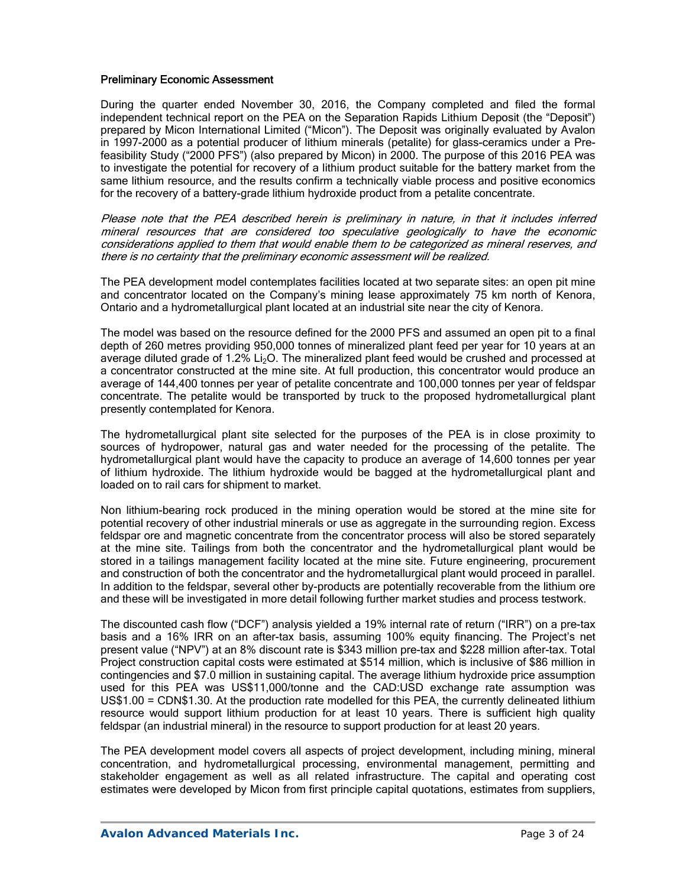#### Preliminary Economic Assessment

During the quarter ended November 30, 2016, the Company completed and filed the formal independent technical report on the PEA on the Separation Rapids Lithium Deposit (the "Deposit") prepared by Micon International Limited ("Micon"). The Deposit was originally evaluated by Avalon in 1997-2000 as a potential producer of lithium minerals (petalite) for glass-ceramics under a Prefeasibility Study ("2000 PFS") (also prepared by Micon) in 2000. The purpose of this 2016 PEA was to investigate the potential for recovery of a lithium product suitable for the battery market from the same lithium resource, and the results confirm a technically viable process and positive economics for the recovery of a battery-grade lithium hydroxide product from a petalite concentrate.

Please note that the PEA described herein is preliminary in nature, in that it includes inferred mineral resources that are considered too speculative geologically to have the economic considerations applied to them that would enable them to be categorized as mineral reserves, and there is no certainty that the preliminary economic assessment will be realized.

The PEA development model contemplates facilities located at two separate sites: an open pit mine and concentrator located on the Company's mining lease approximately 75 km north of Kenora, Ontario and a hydrometallurgical plant located at an industrial site near the city of Kenora.

The model was based on the resource defined for the 2000 PFS and assumed an open pit to a final depth of 260 metres providing 950,000 tonnes of mineralized plant feed per year for 10 years at an average diluted grade of 1.2%  $Li<sub>2</sub>O$ . The mineralized plant feed would be crushed and processed at a concentrator constructed at the mine site. At full production, this concentrator would produce an average of 144,400 tonnes per year of petalite concentrate and 100,000 tonnes per year of feldspar concentrate. The petalite would be transported by truck to the proposed hydrometallurgical plant presently contemplated for Kenora.

The hydrometallurgical plant site selected for the purposes of the PEA is in close proximity to sources of hydropower, natural gas and water needed for the processing of the petalite. The hydrometallurgical plant would have the capacity to produce an average of 14,600 tonnes per year of lithium hydroxide. The lithium hydroxide would be bagged at the hydrometallurgical plant and loaded on to rail cars for shipment to market.

Non lithium-bearing rock produced in the mining operation would be stored at the mine site for potential recovery of other industrial minerals or use as aggregate in the surrounding region. Excess feldspar ore and magnetic concentrate from the concentrator process will also be stored separately at the mine site. Tailings from both the concentrator and the hydrometallurgical plant would be stored in a tailings management facility located at the mine site. Future engineering, procurement and construction of both the concentrator and the hydrometallurgical plant would proceed in parallel. In addition to the feldspar, several other by-products are potentially recoverable from the lithium ore and these will be investigated in more detail following further market studies and process testwork.

The discounted cash flow ("DCF") analysis yielded a 19% internal rate of return ("IRR") on a pre-tax basis and a 16% IRR on an after-tax basis, assuming 100% equity financing. The Project's net present value ("NPV") at an 8% discount rate is \$343 million pre-tax and \$228 million after-tax. Total Project construction capital costs were estimated at \$514 million, which is inclusive of \$86 million in contingencies and \$7.0 million in sustaining capital. The average lithium hydroxide price assumption used for this PEA was US\$11,000/tonne and the CAD:USD exchange rate assumption was US\$1.00 = CDN\$1.30. At the production rate modelled for this PEA, the currently delineated lithium resource would support lithium production for at least 10 years. There is sufficient high quality feldspar (an industrial mineral) in the resource to support production for at least 20 years.

The PEA development model covers all aspects of project development, including mining, mineral concentration, and hydrometallurgical processing, environmental management, permitting and stakeholder engagement as well as all related infrastructure. The capital and operating cost estimates were developed by Micon from first principle capital quotations, estimates from suppliers,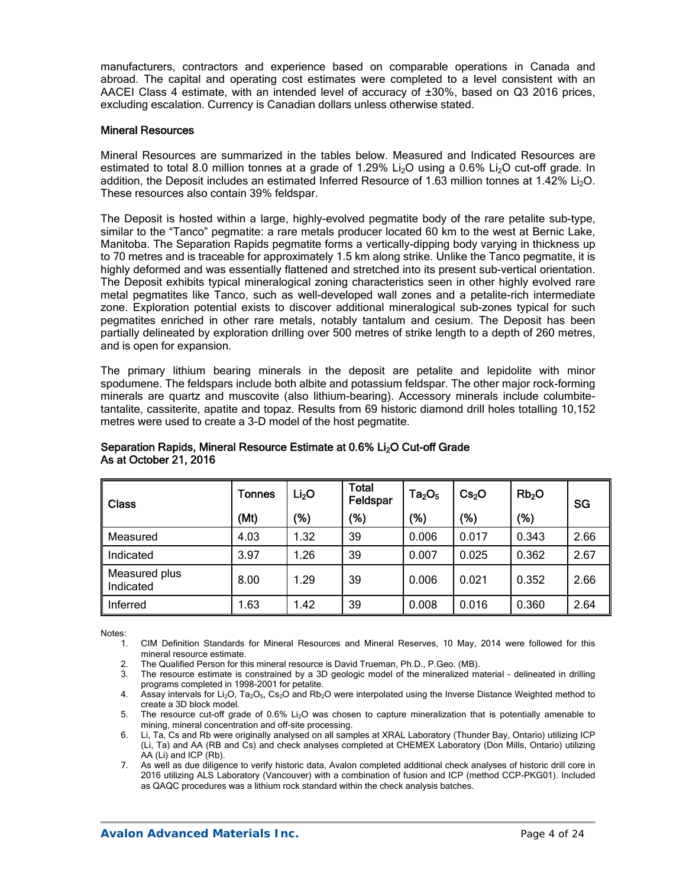manufacturers, contractors and experience based on comparable operations in Canada and abroad. The capital and operating cost estimates were completed to a level consistent with an AACEI Class 4 estimate, with an intended level of accuracy of ±30%, based on Q3 2016 prices, excluding escalation. Currency is Canadian dollars unless otherwise stated.

#### Mineral Resources

Mineral Resources are summarized in the tables below. Measured and Indicated Resources are estimated to total 8.0 million tonnes at a grade of 1.29% Li<sub>2</sub>O using a 0.6% Li<sub>2</sub>O cut-off grade. In addition, the Deposit includes an estimated Inferred Resource of 1.63 million tonnes at 1.42% Li<sub>2</sub>O. These resources also contain 39% feldspar.

The Deposit is hosted within a large, highly-evolved pegmatite body of the rare petalite sub-type, similar to the "Tanco" pegmatite: a rare metals producer located 60 km to the west at Bernic Lake, Manitoba. The Separation Rapids pegmatite forms a vertically-dipping body varying in thickness up to 70 metres and is traceable for approximately 1.5 km along strike. Unlike the Tanco pegmatite, it is highly deformed and was essentially flattened and stretched into its present sub-vertical orientation. The Deposit exhibits typical mineralogical zoning characteristics seen in other highly evolved rare metal pegmatites like Tanco, such as well-developed wall zones and a petalite-rich intermediate zone. Exploration potential exists to discover additional mineralogical sub-zones typical for such pegmatites enriched in other rare metals, notably tantalum and cesium. The Deposit has been partially delineated by exploration drilling over 500 metres of strike length to a depth of 260 metres, and is open for expansion.

The primary lithium bearing minerals in the deposit are petalite and lepidolite with minor spodumene. The feldspars include both albite and potassium feldspar. The other major rock-forming minerals are quartz and muscovite (also lithium-bearing). Accessory minerals include columbitetantalite, cassiterite, apatite and topaz. Results from 69 historic diamond drill holes totalling 10,152 metres were used to create a 3-D model of the host pegmatite.

| <b>Class</b>               | Tonnes | Li <sub>2</sub> O | Total<br>Feldspar | $Ta_2O_5$ | Cs <sub>2</sub> O | Rb <sub>2</sub> O | SG   |
|----------------------------|--------|-------------------|-------------------|-----------|-------------------|-------------------|------|
|                            | (Mt)   | (%)               | (% )              | (%)       | (%)               | (%)               |      |
| Measured                   | 4.03   | 1.32              | 39                | 0.006     | 0.017             | 0.343             | 2.66 |
| Indicated                  | 3.97   | 1.26              | 39                | 0.007     | 0.025             | 0.362             | 2.67 |
| Measured plus<br>Indicated | 8.00   | 1.29              | 39                | 0.006     | 0.021             | 0.352             | 2.66 |
| Inferred                   | 1.63   | 1.42              | 39                | 0.008     | 0.016             | 0.360             | 2.64 |

#### Separation Rapids, Mineral Resource Estimate at 0.6% Li<sub>2</sub>O Cut-off Grade As at October 21, 2016

Notes:<br>1.

- 1. CIM Definition Standards for Mineral Resources and Mineral Reserves, 10 May, 2014 were followed for this mineral resource estimate.
- 2. The Qualified Person for this mineral resource is David Trueman, Ph.D., P.Geo. (MB).
- 3. The resource estimate is constrained by a 3D geologic model of the mineralized material delineated in drilling programs completed in 1998-2001 for petalite.
- 4. Assay intervals for Li<sub>2</sub>O, Ta<sub>2</sub>O<sub>5</sub>, Cs<sub>2</sub>O and Rb<sub>2</sub>O were interpolated using the Inverse Distance Weighted method to create a 3D block model.
- 5. The resource cut-off grade of 0.6% Li<sub>2</sub>O was chosen to capture mineralization that is potentially amenable to mining, mineral concentration and off-site processing.
- 6. Li, Ta, Cs and Rb were originally analysed on all samples at XRAL Laboratory (Thunder Bay, Ontario) utilizing ICP (Li, Ta) and AA (RB and Cs) and check analyses completed at CHEMEX Laboratory (Don Mills, Ontario) utilizing AA (Li) and ICP (Rb).
- 7. As well as due diligence to verify historic data, Avalon completed additional check analyses of historic drill core in 2016 utilizing ALS Laboratory (Vancouver) with a combination of fusion and ICP (method CCP-PKG01). Included as QAQC procedures was a lithium rock standard within the check analysis batches.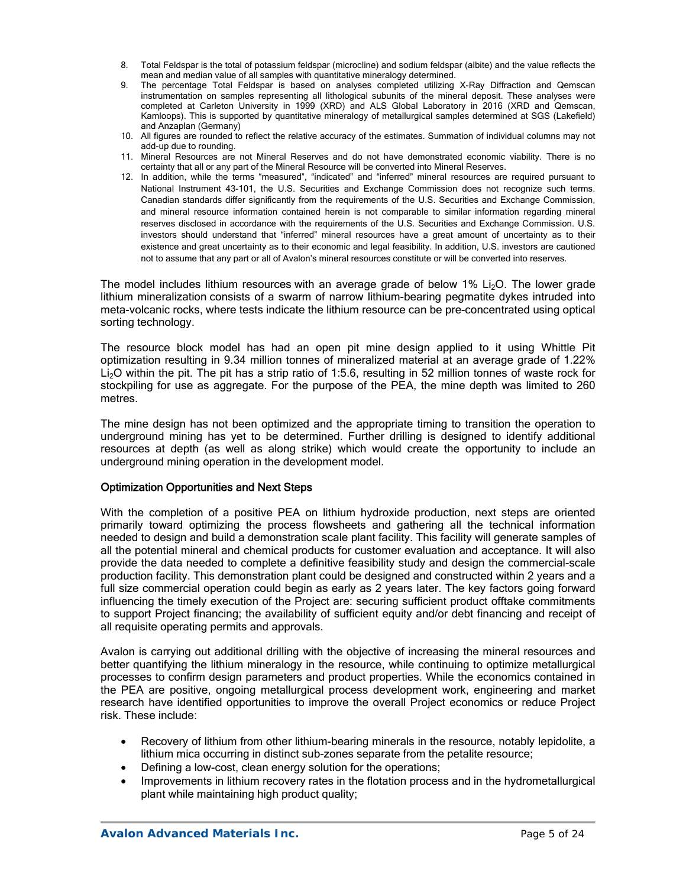- 8. Total Feldspar is the total of potassium feldspar (microcline) and sodium feldspar (albite) and the value reflects the mean and median value of all samples with quantitative mineralogy determined.
- 9. The percentage Total Feldspar is based on analyses completed utilizing X-Ray Diffraction and Qemscan instrumentation on samples representing all lithological subunits of the mineral deposit. These analyses were completed at Carleton University in 1999 (XRD) and ALS Global Laboratory in 2016 (XRD and Qemscan, Kamloops). This is supported by quantitative mineralogy of metallurgical samples determined at SGS (Lakefield) and Anzaplan (Germany)
- 10. All figures are rounded to reflect the relative accuracy of the estimates. Summation of individual columns may not add-up due to rounding.
- 11. Mineral Resources are not Mineral Reserves and do not have demonstrated economic viability. There is no certainty that all or any part of the Mineral Resource will be converted into Mineral Reserves.
- 12. In addition, while the terms "measured", "indicated" and "inferred" mineral resources are required pursuant to National Instrument 43-101, the U.S. Securities and Exchange Commission does not recognize such terms. Canadian standards differ significantly from the requirements of the U.S. Securities and Exchange Commission, and mineral resource information contained herein is not comparable to similar information regarding mineral reserves disclosed in accordance with the requirements of the U.S. Securities and Exchange Commission. U.S. investors should understand that "inferred" mineral resources have a great amount of uncertainty as to their existence and great uncertainty as to their economic and legal feasibility. In addition, U.S. investors are cautioned not to assume that any part or all of Avalon's mineral resources constitute or will be converted into reserves.

The model includes lithium resources with an average grade of below 1% Li<sub>2</sub>O. The lower grade lithium mineralization consists of a swarm of narrow lithium-bearing pegmatite dykes intruded into meta-volcanic rocks, where tests indicate the lithium resource can be pre-concentrated using optical sorting technology.

The resource block model has had an open pit mine design applied to it using Whittle Pit optimization resulting in 9.34 million tonnes of mineralized material at an average grade of 1.22% Li<sub>2</sub>O within the pit. The pit has a strip ratio of 1:5.6, resulting in 52 million tonnes of waste rock for stockpiling for use as aggregate. For the purpose of the PEA, the mine depth was limited to 260 metres.

The mine design has not been optimized and the appropriate timing to transition the operation to underground mining has yet to be determined. Further drilling is designed to identify additional resources at depth (as well as along strike) which would create the opportunity to include an underground mining operation in the development model.

#### Optimization Opportunities and Next Steps

With the completion of a positive PEA on lithium hydroxide production, next steps are oriented primarily toward optimizing the process flowsheets and gathering all the technical information needed to design and build a demonstration scale plant facility. This facility will generate samples of all the potential mineral and chemical products for customer evaluation and acceptance. It will also provide the data needed to complete a definitive feasibility study and design the commercial-scale production facility. This demonstration plant could be designed and constructed within 2 years and a full size commercial operation could begin as early as 2 years later. The key factors going forward influencing the timely execution of the Project are: securing sufficient product offtake commitments to support Project financing; the availability of sufficient equity and/or debt financing and receipt of all requisite operating permits and approvals.

Avalon is carrying out additional drilling with the objective of increasing the mineral resources and better quantifying the lithium mineralogy in the resource, while continuing to optimize metallurgical processes to confirm design parameters and product properties. While the economics contained in the PEA are positive, ongoing metallurgical process development work, engineering and market research have identified opportunities to improve the overall Project economics or reduce Project risk. These include:

- Recovery of lithium from other lithium-bearing minerals in the resource, notably lepidolite, a lithium mica occurring in distinct sub-zones separate from the petalite resource;
- Defining a low-cost, clean energy solution for the operations;
- Improvements in lithium recovery rates in the flotation process and in the hydrometallurgical plant while maintaining high product quality;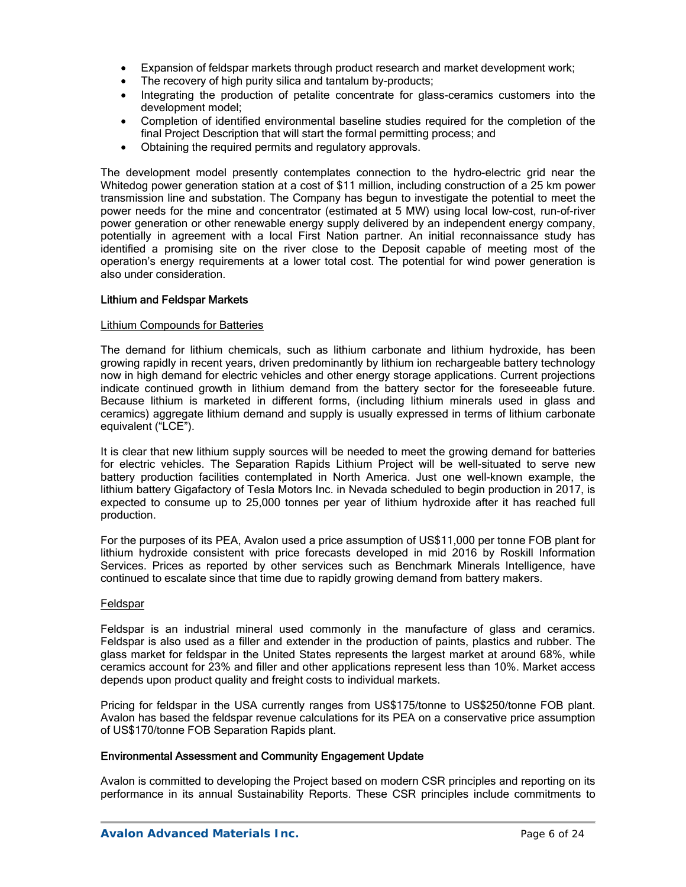- Expansion of feldspar markets through product research and market development work;
- The recovery of high purity silica and tantalum by-products;
- Integrating the production of petalite concentrate for glass-ceramics customers into the development model;
- Completion of identified environmental baseline studies required for the completion of the final Project Description that will start the formal permitting process; and
- Obtaining the required permits and regulatory approvals.

The development model presently contemplates connection to the hydro-electric grid near the Whitedog power generation station at a cost of \$11 million, including construction of a 25 km power transmission line and substation. The Company has begun to investigate the potential to meet the power needs for the mine and concentrator (estimated at 5 MW) using local low-cost, run-of-river power generation or other renewable energy supply delivered by an independent energy company, potentially in agreement with a local First Nation partner. An initial reconnaissance study has identified a promising site on the river close to the Deposit capable of meeting most of the operation's energy requirements at a lower total cost. The potential for wind power generation is also under consideration.

#### Lithium and Feldspar Markets

#### Lithium Compounds for Batteries

The demand for lithium chemicals, such as lithium carbonate and lithium hydroxide, has been growing rapidly in recent years, driven predominantly by lithium ion rechargeable battery technology now in high demand for electric vehicles and other energy storage applications. Current projections indicate continued growth in lithium demand from the battery sector for the foreseeable future. Because lithium is marketed in different forms, (including lithium minerals used in glass and ceramics) aggregate lithium demand and supply is usually expressed in terms of lithium carbonate equivalent ("LCE").

It is clear that new lithium supply sources will be needed to meet the growing demand for batteries for electric vehicles. The Separation Rapids Lithium Project will be well-situated to serve new battery production facilities contemplated in North America. Just one well-known example, the lithium battery Gigafactory of Tesla Motors Inc. in Nevada scheduled to begin production in 2017, is expected to consume up to 25,000 tonnes per year of lithium hydroxide after it has reached full production.

For the purposes of its PEA, Avalon used a price assumption of US\$11,000 per tonne FOB plant for lithium hydroxide consistent with price forecasts developed in mid 2016 by Roskill Information Services. Prices as reported by other services such as Benchmark Minerals Intelligence, have continued to escalate since that time due to rapidly growing demand from battery makers.

#### Feldspar

Feldspar is an industrial mineral used commonly in the manufacture of glass and ceramics. Feldspar is also used as a filler and extender in the production of paints, plastics and rubber. The glass market for feldspar in the United States represents the largest market at around 68%, while ceramics account for 23% and filler and other applications represent less than 10%. Market access depends upon product quality and freight costs to individual markets.

Pricing for feldspar in the USA currently ranges from US\$175/tonne to US\$250/tonne FOB plant. Avalon has based the feldspar revenue calculations for its PEA on a conservative price assumption of US\$170/tonne FOB Separation Rapids plant.

#### Environmental Assessment and Community Engagement Update

Avalon is committed to developing the Project based on modern CSR principles and reporting on its performance in its annual Sustainability Reports. These CSR principles include commitments to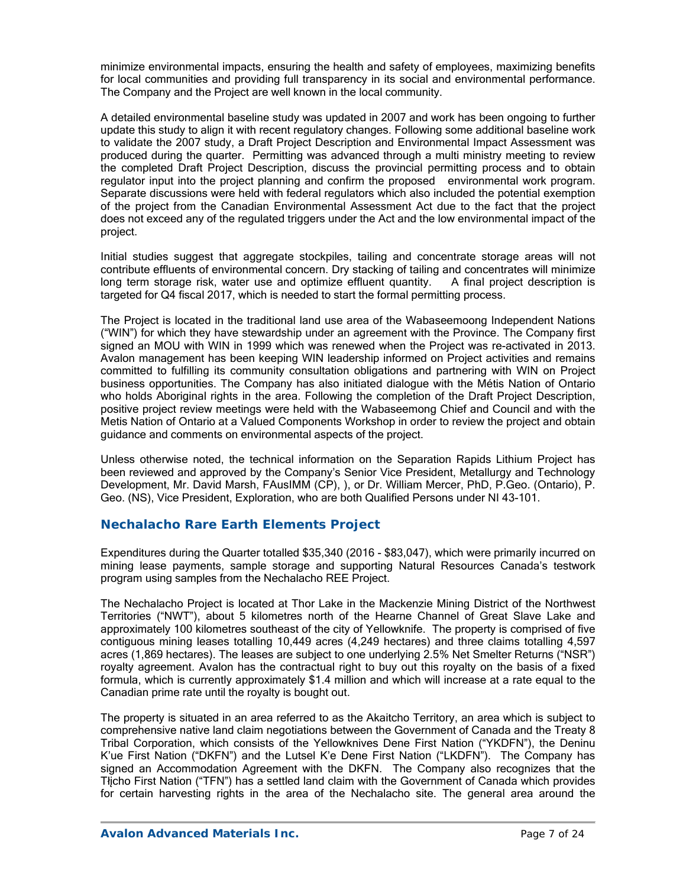minimize environmental impacts, ensuring the health and safety of employees, maximizing benefits for local communities and providing full transparency in its social and environmental performance. The Company and the Project are well known in the local community.

A detailed environmental baseline study was updated in 2007 and work has been ongoing to further update this study to align it with recent regulatory changes. Following some additional baseline work to validate the 2007 study, a Draft Project Description and Environmental Impact Assessment was produced during the quarter. Permitting was advanced through a multi ministry meeting to review the completed Draft Project Description, discuss the provincial permitting process and to obtain regulator input into the project planning and confirm the proposed environmental work program. Separate discussions were held with federal regulators which also included the potential exemption of the project from the Canadian Environmental Assessment Act due to the fact that the project does not exceed any of the regulated triggers under the Act and the low environmental impact of the project.

Initial studies suggest that aggregate stockpiles, tailing and concentrate storage areas will not contribute effluents of environmental concern. Dry stacking of tailing and concentrates will minimize long term storage risk, water use and optimize effluent quantity. A final project description is targeted for Q4 fiscal 2017, which is needed to start the formal permitting process.

The Project is located in the traditional land use area of the Wabaseemoong Independent Nations ("WIN") for which they have stewardship under an agreement with the Province. The Company first signed an MOU with WIN in 1999 which was renewed when the Project was re-activated in 2013. Avalon management has been keeping WIN leadership informed on Project activities and remains committed to fulfilling its community consultation obligations and partnering with WIN on Project business opportunities. The Company has also initiated dialogue with the Métis Nation of Ontario who holds Aboriginal rights in the area. Following the completion of the Draft Project Description, positive project review meetings were held with the Wabaseemong Chief and Council and with the Metis Nation of Ontario at a Valued Components Workshop in order to review the project and obtain guidance and comments on environmental aspects of the project.

Unless otherwise noted, the technical information on the Separation Rapids Lithium Project has been reviewed and approved by the Company's Senior Vice President, Metallurgy and Technology Development, Mr. David Marsh, FAusIMM (CP), ), or Dr. William Mercer, PhD, P.Geo. (Ontario), P. Geo. (NS), Vice President, Exploration, who are both Qualified Persons under NI 43-101.

### **Nechalacho Rare Earth Elements Project**

Expenditures during the Quarter totalled \$35,340 (2016 - \$83,047), which were primarily incurred on mining lease payments, sample storage and supporting Natural Resources Canada's testwork program using samples from the Nechalacho REE Project.

The Nechalacho Project is located at Thor Lake in the Mackenzie Mining District of the Northwest Territories ("NWT"), about 5 kilometres north of the Hearne Channel of Great Slave Lake and approximately 100 kilometres southeast of the city of Yellowknife. The property is comprised of five contiguous mining leases totalling 10,449 acres (4,249 hectares) and three claims totalling 4,597 acres (1,869 hectares). The leases are subject to one underlying 2.5% Net Smelter Returns ("NSR") royalty agreement. Avalon has the contractual right to buy out this royalty on the basis of a fixed formula, which is currently approximately \$1.4 million and which will increase at a rate equal to the Canadian prime rate until the royalty is bought out.

The property is situated in an area referred to as the Akaitcho Territory, an area which is subject to comprehensive native land claim negotiations between the Government of Canada and the Treaty 8 Tribal Corporation, which consists of the Yellowknives Dene First Nation ("YKDFN"), the Deninu K'ue First Nation ("DKFN") and the Lutsel K'e Dene First Nation ("LKDFN"). The Company has signed an Accommodation Agreement with the DKFN. The Company also recognizes that the Tłįcho First Nation ("TFN") has a settled land claim with the Government of Canada which provides for certain harvesting rights in the area of the Nechalacho site. The general area around the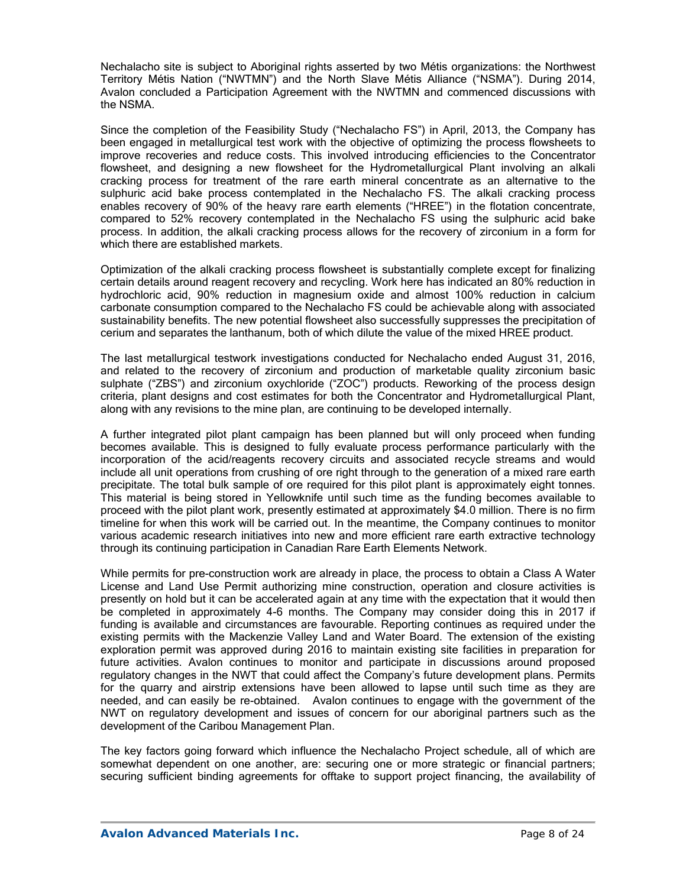Nechalacho site is subject to Aboriginal rights asserted by two Métis organizations: the Northwest Territory Métis Nation ("NWTMN") and the North Slave Métis Alliance ("NSMA"). During 2014, Avalon concluded a Participation Agreement with the NWTMN and commenced discussions with the NSMA.

Since the completion of the Feasibility Study ("Nechalacho FS") in April, 2013, the Company has been engaged in metallurgical test work with the objective of optimizing the process flowsheets to improve recoveries and reduce costs. This involved introducing efficiencies to the Concentrator flowsheet, and designing a new flowsheet for the Hydrometallurgical Plant involving an alkali cracking process for treatment of the rare earth mineral concentrate as an alternative to the sulphuric acid bake process contemplated in the Nechalacho FS. The alkali cracking process enables recovery of 90% of the heavy rare earth elements ("HREE") in the flotation concentrate, compared to 52% recovery contemplated in the Nechalacho FS using the sulphuric acid bake process. In addition, the alkali cracking process allows for the recovery of zirconium in a form for which there are established markets.

Optimization of the alkali cracking process flowsheet is substantially complete except for finalizing certain details around reagent recovery and recycling. Work here has indicated an 80% reduction in hydrochloric acid, 90% reduction in magnesium oxide and almost 100% reduction in calcium carbonate consumption compared to the Nechalacho FS could be achievable along with associated sustainability benefits. The new potential flowsheet also successfully suppresses the precipitation of cerium and separates the lanthanum, both of which dilute the value of the mixed HREE product.

The last metallurgical testwork investigations conducted for Nechalacho ended August 31, 2016, and related to the recovery of zirconium and production of marketable quality zirconium basic sulphate ("ZBS") and zirconium oxychloride ("ZOC") products. Reworking of the process design criteria, plant designs and cost estimates for both the Concentrator and Hydrometallurgical Plant, along with any revisions to the mine plan, are continuing to be developed internally.

A further integrated pilot plant campaign has been planned but will only proceed when funding becomes available. This is designed to fully evaluate process performance particularly with the incorporation of the acid/reagents recovery circuits and associated recycle streams and would include all unit operations from crushing of ore right through to the generation of a mixed rare earth precipitate. The total bulk sample of ore required for this pilot plant is approximately eight tonnes. This material is being stored in Yellowknife until such time as the funding becomes available to proceed with the pilot plant work, presently estimated at approximately \$4.0 million. There is no firm timeline for when this work will be carried out. In the meantime, the Company continues to monitor various academic research initiatives into new and more efficient rare earth extractive technology through its continuing participation in Canadian Rare Earth Elements Network.

While permits for pre-construction work are already in place, the process to obtain a Class A Water License and Land Use Permit authorizing mine construction, operation and closure activities is presently on hold but it can be accelerated again at any time with the expectation that it would then be completed in approximately 4-6 months. The Company may consider doing this in 2017 if funding is available and circumstances are favourable. Reporting continues as required under the existing permits with the Mackenzie Valley Land and Water Board. The extension of the existing exploration permit was approved during 2016 to maintain existing site facilities in preparation for future activities. Avalon continues to monitor and participate in discussions around proposed regulatory changes in the NWT that could affect the Company's future development plans. Permits for the quarry and airstrip extensions have been allowed to lapse until such time as they are needed, and can easily be re-obtained. Avalon continues to engage with the government of the NWT on regulatory development and issues of concern for our aboriginal partners such as the development of the Caribou Management Plan.

The key factors going forward which influence the Nechalacho Project schedule, all of which are somewhat dependent on one another, are: securing one or more strategic or financial partners; securing sufficient binding agreements for offtake to support project financing, the availability of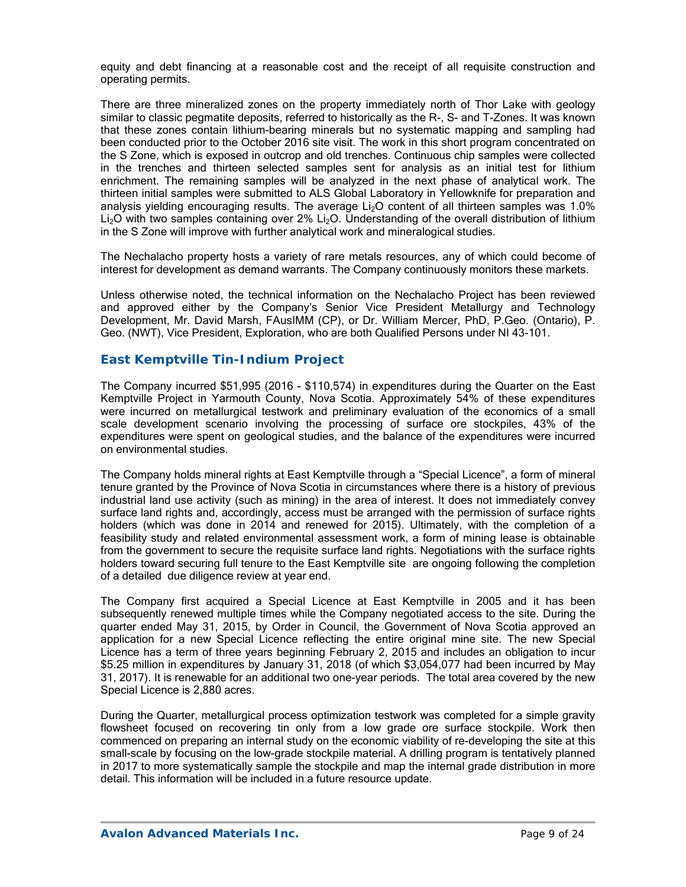equity and debt financing at a reasonable cost and the receipt of all requisite construction and operating permits.

There are three mineralized zones on the property immediately north of Thor Lake with geology similar to classic pegmatite deposits, referred to historically as the R-, S- and T-Zones. It was known that these zones contain lithium-bearing minerals but no systematic mapping and sampling had been conducted prior to the October 2016 site visit. The work in this short program concentrated on the S Zone, which is exposed in outcrop and old trenches. Continuous chip samples were collected in the trenches and thirteen selected samples sent for analysis as an initial test for lithium enrichment. The remaining samples will be analyzed in the next phase of analytical work. The thirteen initial samples were submitted to ALS Global Laboratory in Yellowknife for preparation and analysis yielding encouraging results. The average  $Li<sub>2</sub>O$  content of all thirteen samples was  $1.0\%$ Li<sub>2</sub>O with two samples containing over 2% Li<sub>2</sub>O. Understanding of the overall distribution of lithium in the S Zone will improve with further analytical work and mineralogical studies.

The Nechalacho property hosts a variety of rare metals resources, any of which could become of interest for development as demand warrants. The Company continuously monitors these markets.

Unless otherwise noted, the technical information on the Nechalacho Project has been reviewed and approved either by the Company's Senior Vice President Metallurgy and Technology Development, Mr. David Marsh, FAusIMM (CP), or Dr. William Mercer, PhD, P.Geo. (Ontario), P. Geo. (NWT), Vice President, Exploration, who are both Qualified Persons under NI 43-101.

### *East Kemptville Tin-Indium Project*

The Company incurred \$51,995 (2016 - \$110,574) in expenditures during the Quarter on the East Kemptville Project in Yarmouth County, Nova Scotia. Approximately 54% of these expenditures were incurred on metallurgical testwork and preliminary evaluation of the economics of a small scale development scenario involving the processing of surface ore stockpiles, 43% of the expenditures were spent on geological studies, and the balance of the expenditures were incurred on environmental studies.

The Company holds mineral rights at East Kemptville through a "Special Licence", a form of mineral tenure granted by the Province of Nova Scotia in circumstances where there is a history of previous industrial land use activity (such as mining) in the area of interest. It does not immediately convey surface land rights and, accordingly, access must be arranged with the permission of surface rights holders (which was done in 2014 and renewed for 2015). Ultimately, with the completion of a feasibility study and related environmental assessment work, a form of mining lease is obtainable from the government to secure the requisite surface land rights. Negotiations with the surface rights holders toward securing full tenure to the East Kemptville site are ongoing following the completion of a detailed due diligence review at year end.

The Company first acquired a Special Licence at East Kemptville in 2005 and it has been subsequently renewed multiple times while the Company negotiated access to the site. During the quarter ended May 31, 2015, by Order in Council, the Government of Nova Scotia approved an application for a new Special Licence reflecting the entire original mine site. The new Special Licence has a term of three years beginning February 2, 2015 and includes an obligation to incur \$5.25 million in expenditures by January 31, 2018 (of which \$3,054,077 had been incurred by May 31, 2017). It is renewable for an additional two one-year periods. The total area covered by the new Special Licence is 2,880 acres.

During the Quarter, metallurgical process optimization testwork was completed for a simple gravity flowsheet focused on recovering tin only from a low grade ore surface stockpile. Work then commenced on preparing an internal study on the economic viability of re-developing the site at this small-scale by focusing on the low-grade stockpile material. A drilling program is tentatively planned in 2017 to more systematically sample the stockpile and map the internal grade distribution in more detail. This information will be included in a future resource update.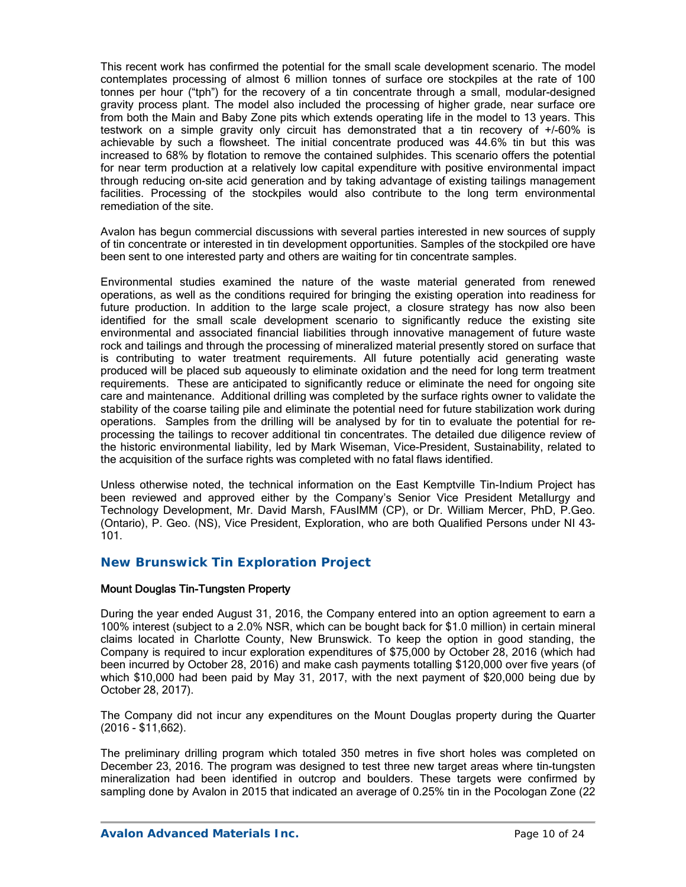This recent work has confirmed the potential for the small scale development scenario. The model contemplates processing of almost 6 million tonnes of surface ore stockpiles at the rate of 100 tonnes per hour ("tph") for the recovery of a tin concentrate through a small, modular-designed gravity process plant. The model also included the processing of higher grade, near surface ore from both the Main and Baby Zone pits which extends operating life in the model to 13 years. This testwork on a simple gravity only circuit has demonstrated that a tin recovery of +/-60% is achievable by such a flowsheet. The initial concentrate produced was 44.6% tin but this was increased to 68% by flotation to remove the contained sulphides. This scenario offers the potential for near term production at a relatively low capital expenditure with positive environmental impact through reducing on-site acid generation and by taking advantage of existing tailings management facilities. Processing of the stockpiles would also contribute to the long term environmental remediation of the site.

Avalon has begun commercial discussions with several parties interested in new sources of supply of tin concentrate or interested in tin development opportunities. Samples of the stockpiled ore have been sent to one interested party and others are waiting for tin concentrate samples.

Environmental studies examined the nature of the waste material generated from renewed operations, as well as the conditions required for bringing the existing operation into readiness for future production. In addition to the large scale project, a closure strategy has now also been identified for the small scale development scenario to significantly reduce the existing site environmental and associated financial liabilities through innovative management of future waste rock and tailings and through the processing of mineralized material presently stored on surface that is contributing to water treatment requirements. All future potentially acid generating waste produced will be placed sub aqueously to eliminate oxidation and the need for long term treatment requirements. These are anticipated to significantly reduce or eliminate the need for ongoing site care and maintenance. Additional drilling was completed by the surface rights owner to validate the stability of the coarse tailing pile and eliminate the potential need for future stabilization work during operations. Samples from the drilling will be analysed by for tin to evaluate the potential for reprocessing the tailings to recover additional tin concentrates. The detailed due diligence review of the historic environmental liability, led by Mark Wiseman, Vice-President, Sustainability, related to the acquisition of the surface rights was completed with no fatal flaws identified.

Unless otherwise noted, the technical information on the East Kemptville Tin-Indium Project has been reviewed and approved either by the Company's Senior Vice President Metallurgy and Technology Development, Mr. David Marsh, FAusIMM (CP), or Dr. William Mercer, PhD, P.Geo. (Ontario), P. Geo. (NS), Vice President, Exploration, who are both Qualified Persons under NI 43- 101.

### *New Brunswick Tin Exploration Project*

#### Mount Douglas Tin-Tungsten Property

During the year ended August 31, 2016, the Company entered into an option agreement to earn a 100% interest (subject to a 2.0% NSR, which can be bought back for \$1.0 million) in certain mineral claims located in Charlotte County, New Brunswick. To keep the option in good standing, the Company is required to incur exploration expenditures of \$75,000 by October 28, 2016 (which had been incurred by October 28, 2016) and make cash payments totalling \$120,000 over five years (of which \$10,000 had been paid by May 31, 2017, with the next payment of \$20,000 being due by October 28, 2017).

The Company did not incur any expenditures on the Mount Douglas property during the Quarter (2016 - \$11,662).

The preliminary drilling program which totaled 350 metres in five short holes was completed on December 23, 2016. The program was designed to test three new target areas where tin-tungsten mineralization had been identified in outcrop and boulders. These targets were confirmed by sampling done by Avalon in 2015 that indicated an average of 0.25% tin in the Pocologan Zone (22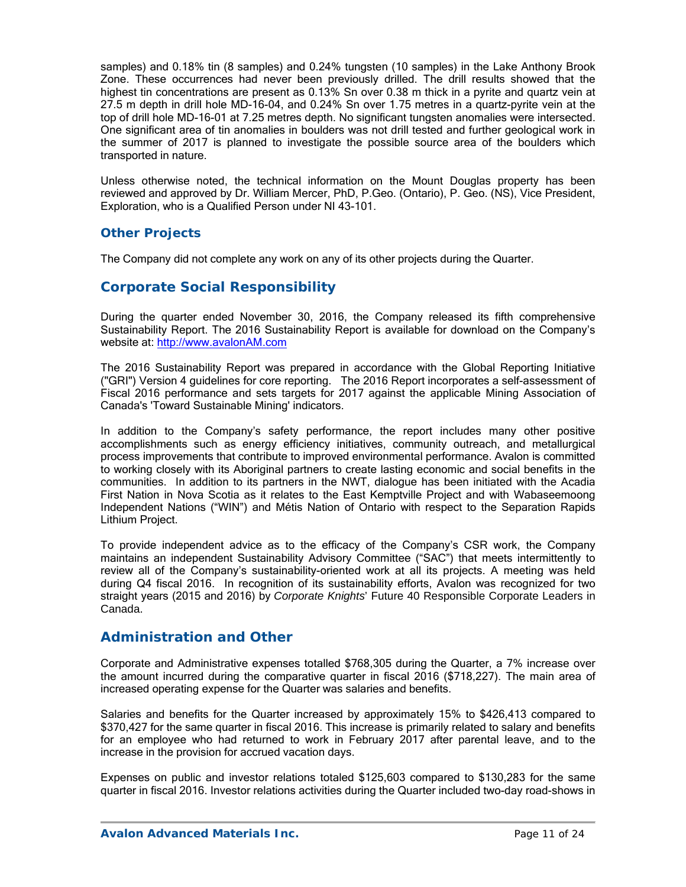samples) and 0.18% tin (8 samples) and 0.24% tungsten (10 samples) in the Lake Anthony Brook Zone. These occurrences had never been previously drilled. The drill results showed that the highest tin concentrations are present as 0.13% Sn over 0.38 m thick in a pyrite and quartz vein at 27.5 m depth in drill hole MD-16-04, and 0.24% Sn over 1.75 metres in a quartz-pyrite vein at the top of drill hole MD-16-01 at 7.25 metres depth. No significant tungsten anomalies were intersected. One significant area of tin anomalies in boulders was not drill tested and further geological work in the summer of 2017 is planned to investigate the possible source area of the boulders which transported in nature.

Unless otherwise noted, the technical information on the Mount Douglas property has been reviewed and approved by Dr. William Mercer, PhD, P.Geo. (Ontario), P. Geo. (NS), Vice President, Exploration, who is a Qualified Person under NI 43-101.

## *Other Projects*

The Company did not complete any work on any of its other projects during the Quarter.

# **Corporate Social Responsibility**

During the quarter ended November 30, 2016, the Company released its fifth comprehensive Sustainability Report. The 2016 Sustainability Report is available for download on the Company's website at: http://www.avalonAM.com

The 2016 Sustainability Report was prepared in accordance with the Global Reporting Initiative ("GRI") Version 4 guidelines for core reporting. The 2016 Report incorporates a self-assessment of Fiscal 2016 performance and sets targets for 2017 against the applicable Mining Association of Canada's 'Toward Sustainable Mining' indicators.

In addition to the Company's safety performance, the report includes many other positive accomplishments such as energy efficiency initiatives, community outreach, and metallurgical process improvements that contribute to improved environmental performance. Avalon is committed to working closely with its Aboriginal partners to create lasting economic and social benefits in the communities. In addition to its partners in the NWT, dialogue has been initiated with the Acadia First Nation in Nova Scotia as it relates to the East Kemptville Project and with Wabaseemoong Independent Nations ("WIN") and Métis Nation of Ontario with respect to the Separation Rapids Lithium Project.

To provide independent advice as to the efficacy of the Company's CSR work, the Company maintains an independent Sustainability Advisory Committee ("SAC") that meets intermittently to review all of the Company's sustainability-oriented work at all its projects. A meeting was held during Q4 fiscal 2016. In recognition of its sustainability efforts, Avalon was recognized for two straight years (2015 and 2016) by *Corporate Knights*' Future 40 Responsible Corporate Leaders in Canada.

### **Administration and Other**

Corporate and Administrative expenses totalled \$768,305 during the Quarter, a 7% increase over the amount incurred during the comparative quarter in fiscal 2016 (\$718,227). The main area of increased operating expense for the Quarter was salaries and benefits.

Salaries and benefits for the Quarter increased by approximately 15% to \$426,413 compared to \$370,427 for the same quarter in fiscal 2016. This increase is primarily related to salary and benefits for an employee who had returned to work in February 2017 after parental leave, and to the increase in the provision for accrued vacation days.

Expenses on public and investor relations totaled \$125,603 compared to \$130,283 for the same quarter in fiscal 2016. Investor relations activities during the Quarter included two-day road-shows in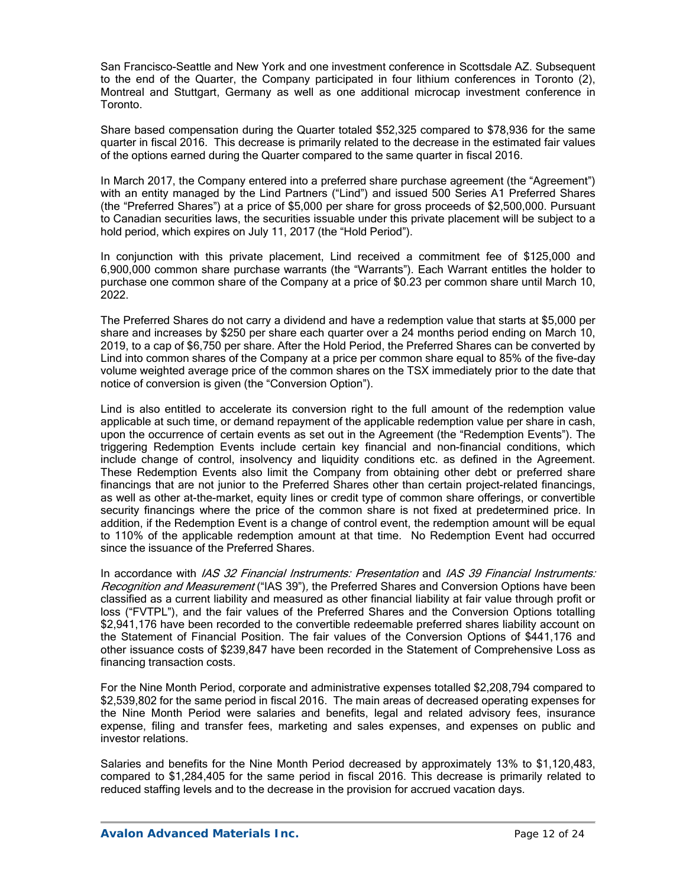San Francisco-Seattle and New York and one investment conference in Scottsdale AZ. Subsequent to the end of the Quarter, the Company participated in four lithium conferences in Toronto (2), Montreal and Stuttgart, Germany as well as one additional microcap investment conference in Toronto.

Share based compensation during the Quarter totaled \$52,325 compared to \$78,936 for the same quarter in fiscal 2016. This decrease is primarily related to the decrease in the estimated fair values of the options earned during the Quarter compared to the same quarter in fiscal 2016.

In March 2017, the Company entered into a preferred share purchase agreement (the "Agreement") with an entity managed by the Lind Partners ("Lind") and issued 500 Series A1 Preferred Shares (the "Preferred Shares") at a price of \$5,000 per share for gross proceeds of \$2,500,000. Pursuant to Canadian securities laws, the securities issuable under this private placement will be subject to a hold period, which expires on July 11, 2017 (the "Hold Period").

In conjunction with this private placement, Lind received a commitment fee of \$125,000 and 6,900,000 common share purchase warrants (the "Warrants"). Each Warrant entitles the holder to purchase one common share of the Company at a price of \$0.23 per common share until March 10, 2022.

The Preferred Shares do not carry a dividend and have a redemption value that starts at \$5,000 per share and increases by \$250 per share each quarter over a 24 months period ending on March 10, 2019, to a cap of \$6,750 per share. After the Hold Period, the Preferred Shares can be converted by Lind into common shares of the Company at a price per common share equal to 85% of the five-day volume weighted average price of the common shares on the TSX immediately prior to the date that notice of conversion is given (the "Conversion Option").

Lind is also entitled to accelerate its conversion right to the full amount of the redemption value applicable at such time, or demand repayment of the applicable redemption value per share in cash, upon the occurrence of certain events as set out in the Agreement (the "Redemption Events"). The triggering Redemption Events include certain key financial and non-financial conditions, which include change of control, insolvency and liquidity conditions etc. as defined in the Agreement. These Redemption Events also limit the Company from obtaining other debt or preferred share financings that are not junior to the Preferred Shares other than certain project-related financings, as well as other at-the-market, equity lines or credit type of common share offerings, or convertible security financings where the price of the common share is not fixed at predetermined price. In addition, if the Redemption Event is a change of control event, the redemption amount will be equal to 110% of the applicable redemption amount at that time. No Redemption Event had occurred since the issuance of the Preferred Shares.

In accordance with IAS 32 Financial Instruments: Presentation and IAS 39 Financial Instruments: Recognition and Measurement ("IAS 39"), the Preferred Shares and Conversion Options have been classified as a current liability and measured as other financial liability at fair value through profit or loss ("FVTPL"), and the fair values of the Preferred Shares and the Conversion Options totalling \$2,941,176 have been recorded to the convertible redeemable preferred shares liability account on the Statement of Financial Position. The fair values of the Conversion Options of \$441,176 and other issuance costs of \$239,847 have been recorded in the Statement of Comprehensive Loss as financing transaction costs.

For the Nine Month Period, corporate and administrative expenses totalled \$2,208,794 compared to \$2,539,802 for the same period in fiscal 2016. The main areas of decreased operating expenses for the Nine Month Period were salaries and benefits, legal and related advisory fees, insurance expense, filing and transfer fees, marketing and sales expenses, and expenses on public and investor relations.

Salaries and benefits for the Nine Month Period decreased by approximately 13% to \$1,120,483, compared to \$1,284,405 for the same period in fiscal 2016. This decrease is primarily related to reduced staffing levels and to the decrease in the provision for accrued vacation days.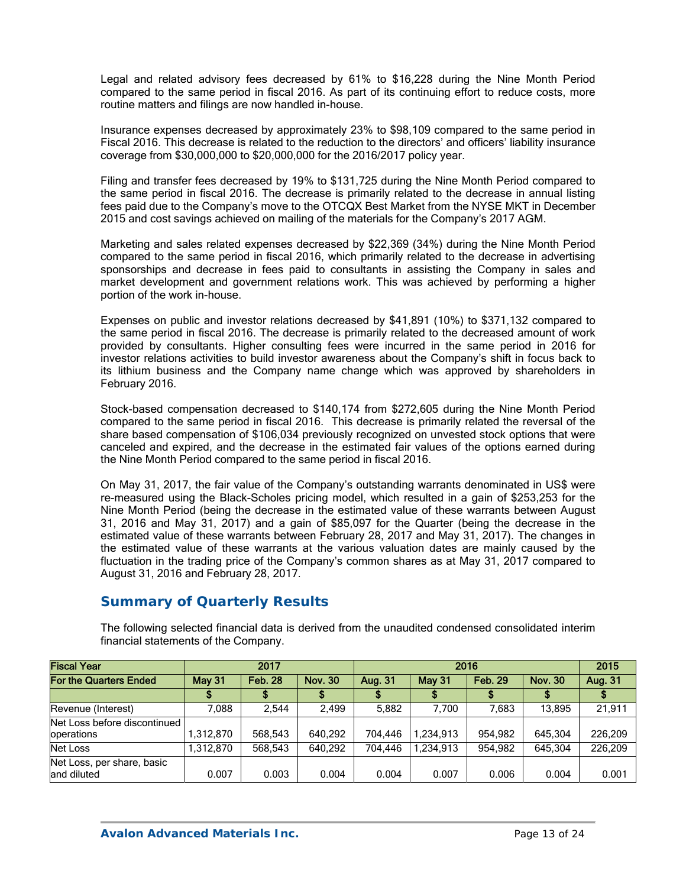Legal and related advisory fees decreased by 61% to \$16,228 during the Nine Month Period compared to the same period in fiscal 2016. As part of its continuing effort to reduce costs, more routine matters and filings are now handled in-house.

Insurance expenses decreased by approximately 23% to \$98,109 compared to the same period in Fiscal 2016. This decrease is related to the reduction to the directors' and officers' liability insurance coverage from \$30,000,000 to \$20,000,000 for the 2016/2017 policy year.

Filing and transfer fees decreased by 19% to \$131,725 during the Nine Month Period compared to the same period in fiscal 2016. The decrease is primarily related to the decrease in annual listing fees paid due to the Company's move to the OTCQX Best Market from the NYSE MKT in December 2015 and cost savings achieved on mailing of the materials for the Company's 2017 AGM.

Marketing and sales related expenses decreased by \$22,369 (34%) during the Nine Month Period compared to the same period in fiscal 2016, which primarily related to the decrease in advertising sponsorships and decrease in fees paid to consultants in assisting the Company in sales and market development and government relations work. This was achieved by performing a higher portion of the work in-house.

Expenses on public and investor relations decreased by \$41,891 (10%) to \$371,132 compared to the same period in fiscal 2016. The decrease is primarily related to the decreased amount of work provided by consultants. Higher consulting fees were incurred in the same period in 2016 for investor relations activities to build investor awareness about the Company's shift in focus back to its lithium business and the Company name change which was approved by shareholders in February 2016.

Stock-based compensation decreased to \$140,174 from \$272,605 during the Nine Month Period compared to the same period in fiscal 2016. This decrease is primarily related the reversal of the share based compensation of \$106,034 previously recognized on unvested stock options that were canceled and expired, and the decrease in the estimated fair values of the options earned during the Nine Month Period compared to the same period in fiscal 2016.

On May 31, 2017, the fair value of the Company's outstanding warrants denominated in US\$ were re-measured using the Black-Scholes pricing model, which resulted in a gain of \$253,253 for the Nine Month Period (being the decrease in the estimated value of these warrants between August 31, 2016 and May 31, 2017) and a gain of \$85,097 for the Quarter (being the decrease in the estimated value of these warrants between February 28, 2017 and May 31, 2017). The changes in the estimated value of these warrants at the various valuation dates are mainly caused by the fluctuation in the trading price of the Company's common shares as at May 31, 2017 compared to August 31, 2016 and February 28, 2017.

## **Summary of Quarterly Results**

The following selected financial data is derived from the unaudited condensed consolidated interim financial statements of the Company.

| <b>Fiscal Year</b>                         | 2017      |                |                |         | 2015          |         |                |         |
|--------------------------------------------|-----------|----------------|----------------|---------|---------------|---------|----------------|---------|
| For the Quarters Ended                     | May 31    | <b>Feb. 28</b> | <b>Nov. 30</b> | Aug. 31 | <b>May 31</b> |         | <b>Nov. 30</b> | Aug. 31 |
|                                            |           |                |                |         |               |         |                |         |
| Revenue (Interest)                         | .088      | 2.544          | 2.499          | 5.882   | 7.700         | 7.683   | 13.895         | 21.911  |
| Net Loss before discontinued<br>operations | 1,312,870 | 568.543        | 640,292        | 704.446 | 1.234.913     | 954.982 | 645.304        | 226.209 |
| Net Loss                                   | 1.312.870 | 568.543        | 640.292        | 704.446 | 1.234.913     | 954.982 | 645.304        | 226.209 |
| Net Loss, per share, basic<br>land diluted | 0.007     | 0.003          | 0.004          | 0.004   | 0.007         | 0.006   | 0.004          | 0.001   |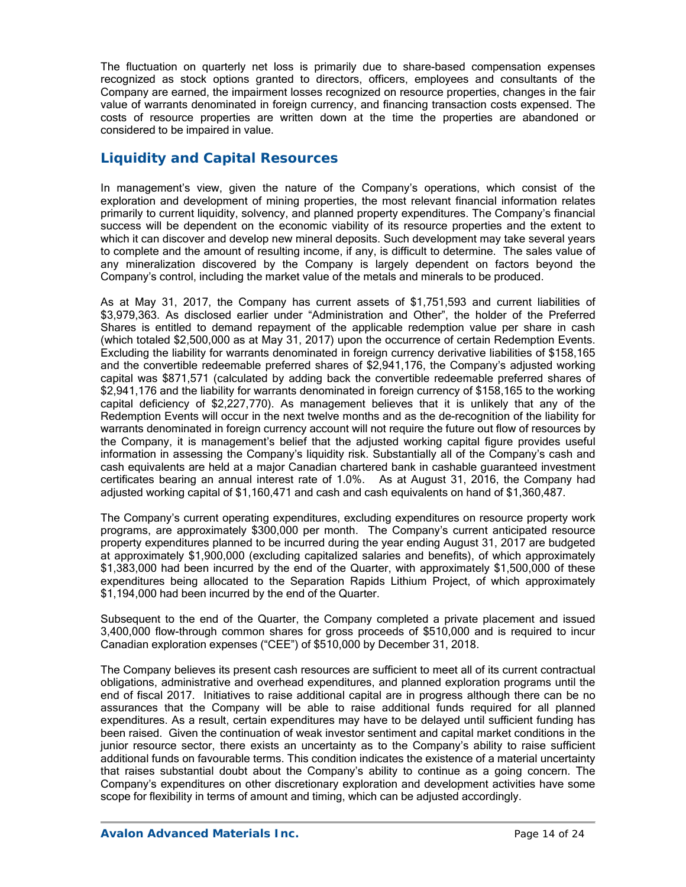The fluctuation on quarterly net loss is primarily due to share-based compensation expenses recognized as stock options granted to directors, officers, employees and consultants of the Company are earned, the impairment losses recognized on resource properties, changes in the fair value of warrants denominated in foreign currency, and financing transaction costs expensed. The costs of resource properties are written down at the time the properties are abandoned or considered to be impaired in value.

## **Liquidity and Capital Resources**

In management's view, given the nature of the Company's operations, which consist of the exploration and development of mining properties, the most relevant financial information relates primarily to current liquidity, solvency, and planned property expenditures. The Company's financial success will be dependent on the economic viability of its resource properties and the extent to which it can discover and develop new mineral deposits. Such development may take several years to complete and the amount of resulting income, if any, is difficult to determine. The sales value of any mineralization discovered by the Company is largely dependent on factors beyond the Company's control, including the market value of the metals and minerals to be produced.

As at May 31, 2017, the Company has current assets of \$1,751,593 and current liabilities of \$3,979,363. As disclosed earlier under "Administration and Other", the holder of the Preferred Shares is entitled to demand repayment of the applicable redemption value per share in cash (which totaled \$2,500,000 as at May 31, 2017) upon the occurrence of certain Redemption Events. Excluding the liability for warrants denominated in foreign currency derivative liabilities of \$158,165 and the convertible redeemable preferred shares of \$2,941,176, the Company's adjusted working capital was \$871,571 (calculated by adding back the convertible redeemable preferred shares of \$2,941,176 and the liability for warrants denominated in foreign currency of \$158,165 to the working capital deficiency of \$2,227,770). As management believes that it is unlikely that any of the Redemption Events will occur in the next twelve months and as the de-recognition of the liability for warrants denominated in foreign currency account will not require the future out flow of resources by the Company, it is management's belief that the adjusted working capital figure provides useful information in assessing the Company's liquidity risk. Substantially all of the Company's cash and cash equivalents are held at a major Canadian chartered bank in cashable guaranteed investment certificates bearing an annual interest rate of 1.0%. As at August 31, 2016, the Company had adjusted working capital of \$1,160,471 and cash and cash equivalents on hand of \$1,360,487.

The Company's current operating expenditures, excluding expenditures on resource property work programs, are approximately \$300,000 per month. The Company's current anticipated resource property expenditures planned to be incurred during the year ending August 31, 2017 are budgeted at approximately \$1,900,000 (excluding capitalized salaries and benefits), of which approximately \$1,383,000 had been incurred by the end of the Quarter, with approximately \$1,500,000 of these expenditures being allocated to the Separation Rapids Lithium Project, of which approximately \$1,194,000 had been incurred by the end of the Quarter.

Subsequent to the end of the Quarter, the Company completed a private placement and issued 3,400,000 flow-through common shares for gross proceeds of \$510,000 and is required to incur Canadian exploration expenses ("CEE") of \$510,000 by December 31, 2018.

The Company believes its present cash resources are sufficient to meet all of its current contractual obligations, administrative and overhead expenditures, and planned exploration programs until the end of fiscal 2017. Initiatives to raise additional capital are in progress although there can be no assurances that the Company will be able to raise additional funds required for all planned expenditures. As a result, certain expenditures may have to be delayed until sufficient funding has been raised. Given the continuation of weak investor sentiment and capital market conditions in the junior resource sector, there exists an uncertainty as to the Company's ability to raise sufficient additional funds on favourable terms. This condition indicates the existence of a material uncertainty that raises substantial doubt about the Company's ability to continue as a going concern. The Company's expenditures on other discretionary exploration and development activities have some scope for flexibility in terms of amount and timing, which can be adjusted accordingly.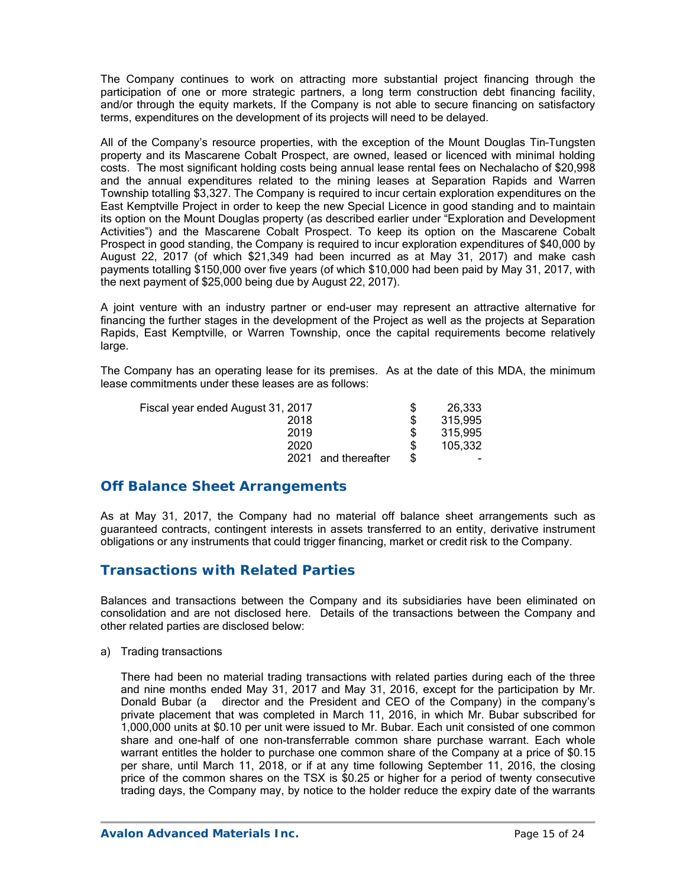The Company continues to work on attracting more substantial project financing through the participation of one or more strategic partners, a long term construction debt financing facility, and/or through the equity markets. If the Company is not able to secure financing on satisfactory terms, expenditures on the development of its projects will need to be delayed.

All of the Company's resource properties, with the exception of the Mount Douglas Tin–Tungsten property and its Mascarene Cobalt Prospect, are owned, leased or licenced with minimal holding costs. The most significant holding costs being annual lease rental fees on Nechalacho of \$20,998 and the annual expenditures related to the mining leases at Separation Rapids and Warren Township totalling \$3,327. The Company is required to incur certain exploration expenditures on the East Kemptville Project in order to keep the new Special Licence in good standing and to maintain its option on the Mount Douglas property (as described earlier under "Exploration and Development Activities") and the Mascarene Cobalt Prospect. To keep its option on the Mascarene Cobalt Prospect in good standing, the Company is required to incur exploration expenditures of \$40,000 by August 22, 2017 (of which \$21,349 had been incurred as at May 31, 2017) and make cash payments totalling \$150,000 over five years (of which \$10,000 had been paid by May 31, 2017, with the next payment of \$25,000 being due by August 22, 2017).

A joint venture with an industry partner or end-user may represent an attractive alternative for financing the further stages in the development of the Project as well as the projects at Separation Rapids, East Kemptville, or Warren Township, once the capital requirements become relatively large.

The Company has an operating lease for its premises. As at the date of this MDA, the minimum lease commitments under these leases are as follows:

| Fiscal year ended August 31, 2017 | 26,333  |
|-----------------------------------|---------|
| 2018                              | 315,995 |
| 2019                              | 315,995 |
| 2020                              | 105.332 |
| 2021<br>and thereafter            |         |

### **Off Balance Sheet Arrangements**

As at May 31, 2017, the Company had no material off balance sheet arrangements such as guaranteed contracts, contingent interests in assets transferred to an entity, derivative instrument obligations or any instruments that could trigger financing, market or credit risk to the Company.

## **Transactions with Related Parties**

Balances and transactions between the Company and its subsidiaries have been eliminated on consolidation and are not disclosed here. Details of the transactions between the Company and other related parties are disclosed below:

a) Trading transactions

There had been no material trading transactions with related parties during each of the three and nine months ended May 31, 2017 and May 31, 2016, except for the participation by Mr. Donald Bubar (a director and the President and CEO of the Company) in the company's private placement that was completed in March 11, 2016, in which Mr. Bubar subscribed for 1,000,000 units at \$0.10 per unit were issued to Mr. Bubar. Each unit consisted of one common share and one-half of one non-transferrable common share purchase warrant. Each whole warrant entitles the holder to purchase one common share of the Company at a price of \$0.15 per share, until March 11, 2018, or if at any time following September 11, 2016, the closing price of the common shares on the TSX is \$0.25 or higher for a period of twenty consecutive trading days, the Company may, by notice to the holder reduce the expiry date of the warrants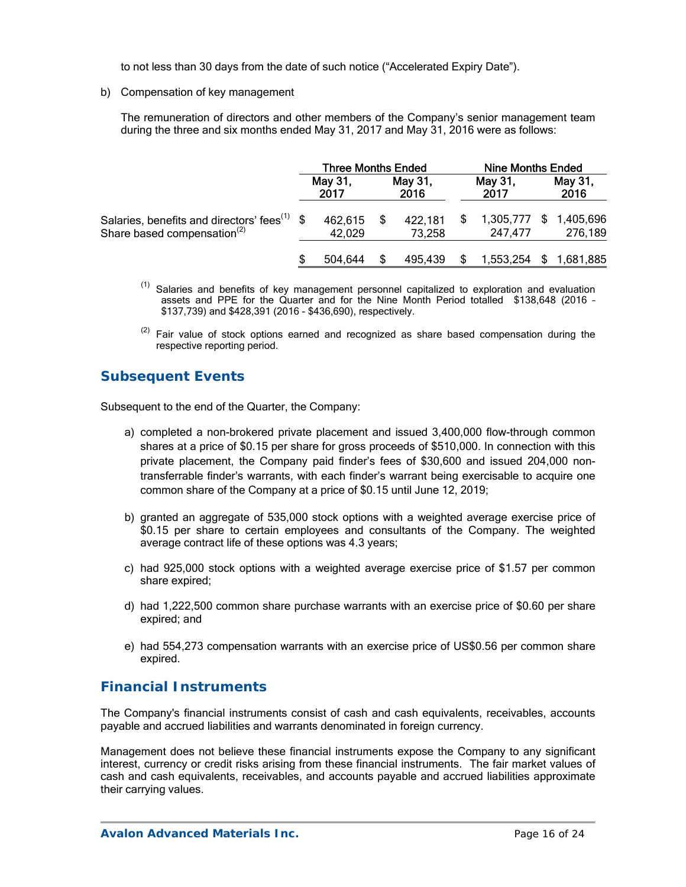to not less than 30 days from the date of such notice ("Accelerated Expiry Date").

b) Compensation of key management

The remuneration of directors and other members of the Company's senior management team during the three and six months ended May 31, 2017 and May 31, 2016 were as follows:

|                                                                                                     | <b>Three Months Ended</b> |                   |  | <b>Nine Months Ended</b> |  |                      |    |                      |
|-----------------------------------------------------------------------------------------------------|---------------------------|-------------------|--|--------------------------|--|----------------------|----|----------------------|
|                                                                                                     |                           | May 31,<br>2017   |  | May 31,<br>2016          |  | May 31,<br>2017      |    | May 31,<br>2016      |
| Salaries, benefits and directors' fees <sup>(1)</sup> \$<br>Share based compensation <sup>(2)</sup> |                           | 462,615<br>42,029 |  | 422,181<br>73,258        |  | 1,305,777<br>247,477 | S. | 1,405,696<br>276,189 |
|                                                                                                     |                           | 504.644           |  | 495.439                  |  | 1,553,254            |    | 1,681,885            |

- <sup>(1)</sup> Salaries and benefits of key management personnel capitalized to exploration and evaluation assets and PPE for the Quarter and for the Nine Month Period totalled \$138,648 (2016 – \$137,739) and \$428,391 (2016 - \$436,690), respectively.
- $(2)$  Fair value of stock options earned and recognized as share based compensation during the respective reporting period.

# **Subsequent Events**

Subsequent to the end of the Quarter, the Company:

- a) completed a non-brokered private placement and issued 3,400,000 flow-through common shares at a price of \$0.15 per share for gross proceeds of \$510,000. In connection with this private placement, the Company paid finder's fees of \$30,600 and issued 204,000 nontransferrable finder's warrants, with each finder's warrant being exercisable to acquire one common share of the Company at a price of \$0.15 until June 12, 2019;
- b) granted an aggregate of 535,000 stock options with a weighted average exercise price of \$0.15 per share to certain employees and consultants of the Company. The weighted average contract life of these options was 4.3 years;
- c) had 925,000 stock options with a weighted average exercise price of \$1.57 per common share expired;
- d) had 1,222,500 common share purchase warrants with an exercise price of \$0.60 per share expired; and
- e) had 554,273 compensation warrants with an exercise price of US\$0.56 per common share expired.

## **Financial Instruments**

The Company's financial instruments consist of cash and cash equivalents, receivables, accounts payable and accrued liabilities and warrants denominated in foreign currency.

Management does not believe these financial instruments expose the Company to any significant interest, currency or credit risks arising from these financial instruments. The fair market values of cash and cash equivalents, receivables, and accounts payable and accrued liabilities approximate their carrying values.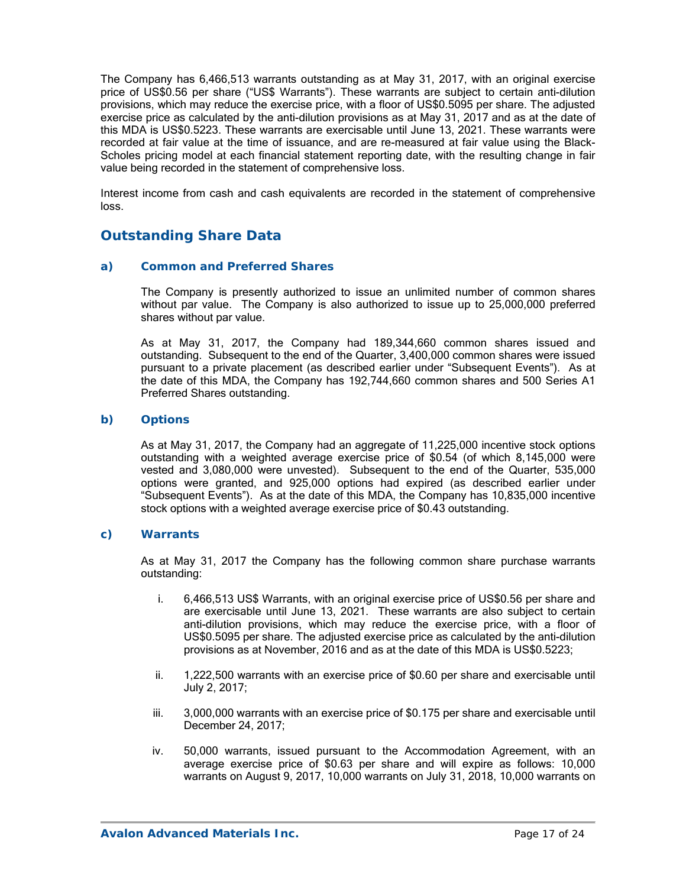The Company has 6,466,513 warrants outstanding as at May 31, 2017, with an original exercise price of US\$0.56 per share ("US\$ Warrants"). These warrants are subject to certain anti-dilution provisions, which may reduce the exercise price, with a floor of US\$0.5095 per share. The adjusted exercise price as calculated by the anti-dilution provisions as at May 31, 2017 and as at the date of this MDA is US\$0.5223. These warrants are exercisable until June 13, 2021. These warrants were recorded at fair value at the time of issuance, and are re-measured at fair value using the Black-Scholes pricing model at each financial statement reporting date, with the resulting change in fair value being recorded in the statement of comprehensive loss.

Interest income from cash and cash equivalents are recorded in the statement of comprehensive loss.

# **Outstanding Share Data**

#### *a) Common and Preferred Shares*

The Company is presently authorized to issue an unlimited number of common shares without par value. The Company is also authorized to issue up to 25,000,000 preferred shares without par value.

As at May 31, 2017, the Company had 189,344,660 common shares issued and outstanding. Subsequent to the end of the Quarter, 3,400,000 common shares were issued pursuant to a private placement (as described earlier under "Subsequent Events"). As at the date of this MDA, the Company has 192,744,660 common shares and 500 Series A1 Preferred Shares outstanding.

#### *b) Options*

As at May 31, 2017, the Company had an aggregate of 11,225,000 incentive stock options outstanding with a weighted average exercise price of \$0.54 (of which 8,145,000 were vested and 3,080,000 were unvested). Subsequent to the end of the Quarter, 535,000 options were granted, and 925,000 options had expired (as described earlier under "Subsequent Events"). As at the date of this MDA, the Company has 10,835,000 incentive stock options with a weighted average exercise price of \$0.43 outstanding.

#### *c) Warrants*

As at May 31, 2017 the Company has the following common share purchase warrants outstanding:

- i. 6,466,513 US\$ Warrants, with an original exercise price of US\$0.56 per share and are exercisable until June 13, 2021. These warrants are also subject to certain anti-dilution provisions, which may reduce the exercise price, with a floor of US\$0.5095 per share. The adjusted exercise price as calculated by the anti-dilution provisions as at November, 2016 and as at the date of this MDA is US\$0.5223;
- ii. 1,222,500 warrants with an exercise price of \$0.60 per share and exercisable until July 2, 2017;
- iii. 3,000,000 warrants with an exercise price of \$0.175 per share and exercisable until December 24, 2017;
- iv. 50,000 warrants, issued pursuant to the Accommodation Agreement, with an average exercise price of \$0.63 per share and will expire as follows: 10,000 warrants on August 9, 2017, 10,000 warrants on July 31, 2018, 10,000 warrants on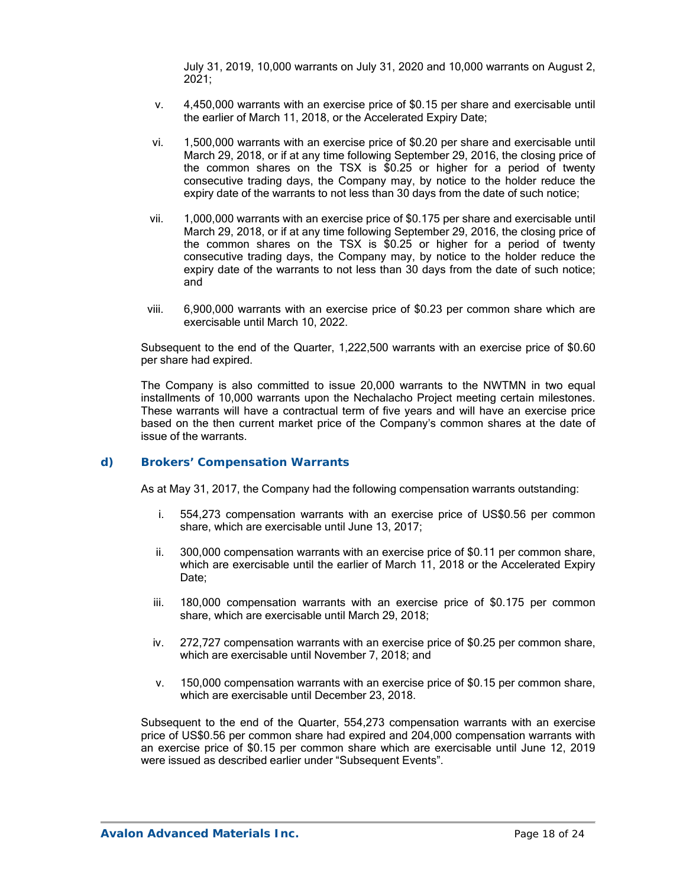July 31, 2019, 10,000 warrants on July 31, 2020 and 10,000 warrants on August 2, 2021;

- v. 4,450,000 warrants with an exercise price of \$0.15 per share and exercisable until the earlier of March 11, 2018, or the Accelerated Expiry Date;
- vi. 1,500,000 warrants with an exercise price of \$0.20 per share and exercisable until March 29, 2018, or if at any time following September 29, 2016, the closing price of the common shares on the TSX is \$0.25 or higher for a period of twenty consecutive trading days, the Company may, by notice to the holder reduce the expiry date of the warrants to not less than 30 days from the date of such notice;
- vii. 1,000,000 warrants with an exercise price of \$0.175 per share and exercisable until March 29, 2018, or if at any time following September 29, 2016, the closing price of the common shares on the TSX is \$0.25 or higher for a period of twenty consecutive trading days, the Company may, by notice to the holder reduce the expiry date of the warrants to not less than 30 days from the date of such notice; and
- viii. 6,900,000 warrants with an exercise price of \$0.23 per common share which are exercisable until March 10, 2022.

Subsequent to the end of the Quarter, 1,222,500 warrants with an exercise price of \$0.60 per share had expired.

The Company is also committed to issue 20,000 warrants to the NWTMN in two equal installments of 10,000 warrants upon the Nechalacho Project meeting certain milestones. These warrants will have a contractual term of five years and will have an exercise price based on the then current market price of the Company's common shares at the date of issue of the warrants.

#### *d) Brokers' Compensation Warrants*

As at May 31, 2017, the Company had the following compensation warrants outstanding:

- i. 554,273 compensation warrants with an exercise price of US\$0.56 per common share, which are exercisable until June 13, 2017;
- ii. 300,000 compensation warrants with an exercise price of \$0.11 per common share, which are exercisable until the earlier of March 11, 2018 or the Accelerated Expiry Date:
- iii. 180,000 compensation warrants with an exercise price of \$0.175 per common share, which are exercisable until March 29, 2018;
- iv. 272,727 compensation warrants with an exercise price of \$0.25 per common share, which are exercisable until November 7, 2018; and
- v. 150,000 compensation warrants with an exercise price of \$0.15 per common share, which are exercisable until December 23, 2018.

Subsequent to the end of the Quarter, 554,273 compensation warrants with an exercise price of US\$0.56 per common share had expired and 204,000 compensation warrants with an exercise price of \$0.15 per common share which are exercisable until June 12, 2019 were issued as described earlier under "Subsequent Events".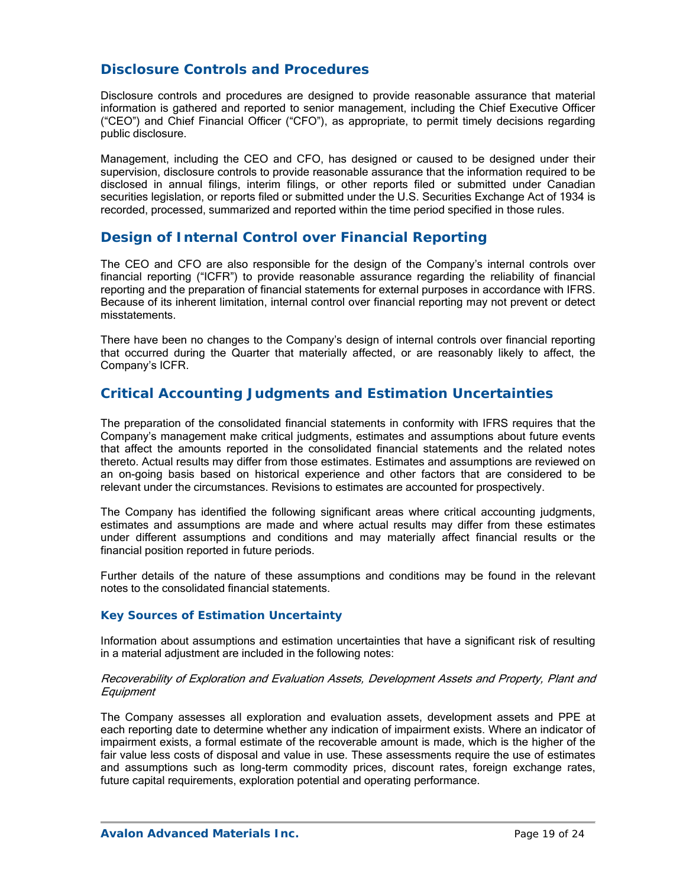## **Disclosure Controls and Procedures**

Disclosure controls and procedures are designed to provide reasonable assurance that material information is gathered and reported to senior management, including the Chief Executive Officer ("CEO") and Chief Financial Officer ("CFO"), as appropriate, to permit timely decisions regarding public disclosure.

Management, including the CEO and CFO, has designed or caused to be designed under their supervision, disclosure controls to provide reasonable assurance that the information required to be disclosed in annual filings, interim filings, or other reports filed or submitted under Canadian securities legislation, or reports filed or submitted under the U.S. Securities Exchange Act of 1934 is recorded, processed, summarized and reported within the time period specified in those rules.

## **Design of Internal Control over Financial Reporting**

The CEO and CFO are also responsible for the design of the Company's internal controls over financial reporting ("ICFR") to provide reasonable assurance regarding the reliability of financial reporting and the preparation of financial statements for external purposes in accordance with IFRS. Because of its inherent limitation, internal control over financial reporting may not prevent or detect misstatements.

There have been no changes to the Company's design of internal controls over financial reporting that occurred during the Quarter that materially affected, or are reasonably likely to affect, the Company's ICFR.

### **Critical Accounting Judgments and Estimation Uncertainties**

The preparation of the consolidated financial statements in conformity with IFRS requires that the Company's management make critical judgments, estimates and assumptions about future events that affect the amounts reported in the consolidated financial statements and the related notes thereto. Actual results may differ from those estimates. Estimates and assumptions are reviewed on an on-going basis based on historical experience and other factors that are considered to be relevant under the circumstances. Revisions to estimates are accounted for prospectively.

The Company has identified the following significant areas where critical accounting judgments, estimates and assumptions are made and where actual results may differ from these estimates under different assumptions and conditions and may materially affect financial results or the financial position reported in future periods.

Further details of the nature of these assumptions and conditions may be found in the relevant notes to the consolidated financial statements.

#### *Key Sources of Estimation Uncertainty*

Information about assumptions and estimation uncertainties that have a significant risk of resulting in a material adjustment are included in the following notes:

#### Recoverability of Exploration and Evaluation Assets, Development Assets and Property, Plant and **Equipment**

The Company assesses all exploration and evaluation assets, development assets and PPE at each reporting date to determine whether any indication of impairment exists. Where an indicator of impairment exists, a formal estimate of the recoverable amount is made, which is the higher of the fair value less costs of disposal and value in use. These assessments require the use of estimates and assumptions such as long-term commodity prices, discount rates, foreign exchange rates, future capital requirements, exploration potential and operating performance.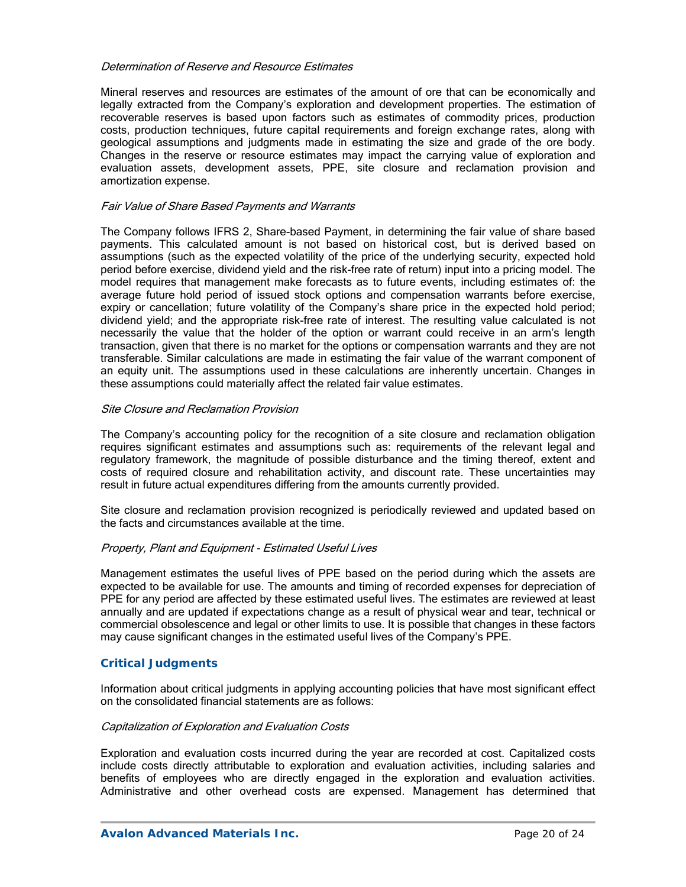#### Determination of Reserve and Resource Estimates

Mineral reserves and resources are estimates of the amount of ore that can be economically and legally extracted from the Company's exploration and development properties. The estimation of recoverable reserves is based upon factors such as estimates of commodity prices, production costs, production techniques, future capital requirements and foreign exchange rates, along with geological assumptions and judgments made in estimating the size and grade of the ore body. Changes in the reserve or resource estimates may impact the carrying value of exploration and evaluation assets, development assets, PPE, site closure and reclamation provision and amortization expense.

#### Fair Value of Share Based Payments and Warrants

The Company follows IFRS 2, Share-based Payment, in determining the fair value of share based payments. This calculated amount is not based on historical cost, but is derived based on assumptions (such as the expected volatility of the price of the underlying security, expected hold period before exercise, dividend yield and the risk-free rate of return) input into a pricing model. The model requires that management make forecasts as to future events, including estimates of: the average future hold period of issued stock options and compensation warrants before exercise, expiry or cancellation; future volatility of the Company's share price in the expected hold period; dividend yield; and the appropriate risk-free rate of interest. The resulting value calculated is not necessarily the value that the holder of the option or warrant could receive in an arm's length transaction, given that there is no market for the options or compensation warrants and they are not transferable. Similar calculations are made in estimating the fair value of the warrant component of an equity unit. The assumptions used in these calculations are inherently uncertain. Changes in these assumptions could materially affect the related fair value estimates.

#### Site Closure and Reclamation Provision

The Company's accounting policy for the recognition of a site closure and reclamation obligation requires significant estimates and assumptions such as: requirements of the relevant legal and regulatory framework, the magnitude of possible disturbance and the timing thereof, extent and costs of required closure and rehabilitation activity, and discount rate. These uncertainties may result in future actual expenditures differing from the amounts currently provided.

Site closure and reclamation provision recognized is periodically reviewed and updated based on the facts and circumstances available at the time.

#### Property, Plant and Equipment - Estimated Useful Lives

Management estimates the useful lives of PPE based on the period during which the assets are expected to be available for use. The amounts and timing of recorded expenses for depreciation of PPE for any period are affected by these estimated useful lives. The estimates are reviewed at least annually and are updated if expectations change as a result of physical wear and tear, technical or commercial obsolescence and legal or other limits to use. It is possible that changes in these factors may cause significant changes in the estimated useful lives of the Company's PPE.

#### *Critical Judgments*

Information about critical judgments in applying accounting policies that have most significant effect on the consolidated financial statements are as follows:

#### Capitalization of Exploration and Evaluation Costs

Exploration and evaluation costs incurred during the year are recorded at cost. Capitalized costs include costs directly attributable to exploration and evaluation activities, including salaries and benefits of employees who are directly engaged in the exploration and evaluation activities. Administrative and other overhead costs are expensed. Management has determined that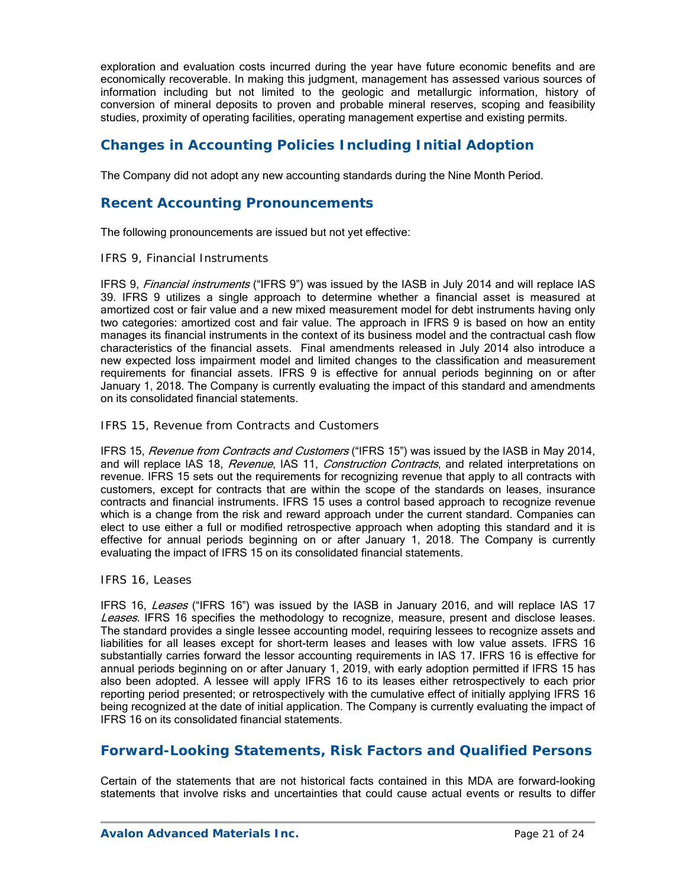exploration and evaluation costs incurred during the year have future economic benefits and are economically recoverable. In making this judgment, management has assessed various sources of information including but not limited to the geologic and metallurgic information, history of conversion of mineral deposits to proven and probable mineral reserves, scoping and feasibility studies, proximity of operating facilities, operating management expertise and existing permits.

# **Changes in Accounting Policies Including Initial Adoption**

The Company did not adopt any new accounting standards during the Nine Month Period.

## **Recent Accounting Pronouncements**

The following pronouncements are issued but not yet effective:

#### *IFRS 9, Financial Instruments*

IFRS 9, *Financial instruments* ("IFRS 9") was issued by the IASB in July 2014 and will replace IAS 39. IFRS 9 utilizes a single approach to determine whether a financial asset is measured at amortized cost or fair value and a new mixed measurement model for debt instruments having only two categories: amortized cost and fair value. The approach in IFRS 9 is based on how an entity manages its financial instruments in the context of its business model and the contractual cash flow characteristics of the financial assets. Final amendments released in July 2014 also introduce a new expected loss impairment model and limited changes to the classification and measurement requirements for financial assets. IFRS 9 is effective for annual periods beginning on or after January 1, 2018. The Company is currently evaluating the impact of this standard and amendments on its consolidated financial statements.

#### *IFRS 15, Revenue from Contracts and Customers*

IFRS 15, Revenue from Contracts and Customers ("IFRS 15") was issued by the IASB in May 2014, and will replace IAS 18, *Revenue*, IAS 11, *Construction Contracts*, and related interpretations on revenue. IFRS 15 sets out the requirements for recognizing revenue that apply to all contracts with customers, except for contracts that are within the scope of the standards on leases, insurance contracts and financial instruments. IFRS 15 uses a control based approach to recognize revenue which is a change from the risk and reward approach under the current standard. Companies can elect to use either a full or modified retrospective approach when adopting this standard and it is effective for annual periods beginning on or after January 1, 2018. The Company is currently evaluating the impact of IFRS 15 on its consolidated financial statements.

#### *IFRS 16, Leases*

IFRS 16, Leases ("IFRS 16") was issued by the IASB in January 2016, and will replace IAS 17 Leases. IFRS 16 specifies the methodology to recognize, measure, present and disclose leases. The standard provides a single lessee accounting model, requiring lessees to recognize assets and liabilities for all leases except for short-term leases and leases with low value assets. IFRS 16 substantially carries forward the lessor accounting requirements in IAS 17. IFRS 16 is effective for annual periods beginning on or after January 1, 2019, with early adoption permitted if IFRS 15 has also been adopted. A lessee will apply IFRS 16 to its leases either retrospectively to each prior reporting period presented; or retrospectively with the cumulative effect of initially applying IFRS 16 being recognized at the date of initial application. The Company is currently evaluating the impact of IFRS 16 on its consolidated financial statements.

## **Forward-Looking Statements, Risk Factors and Qualified Persons**

Certain of the statements that are not historical facts contained in this MDA are forward-looking statements that involve risks and uncertainties that could cause actual events or results to differ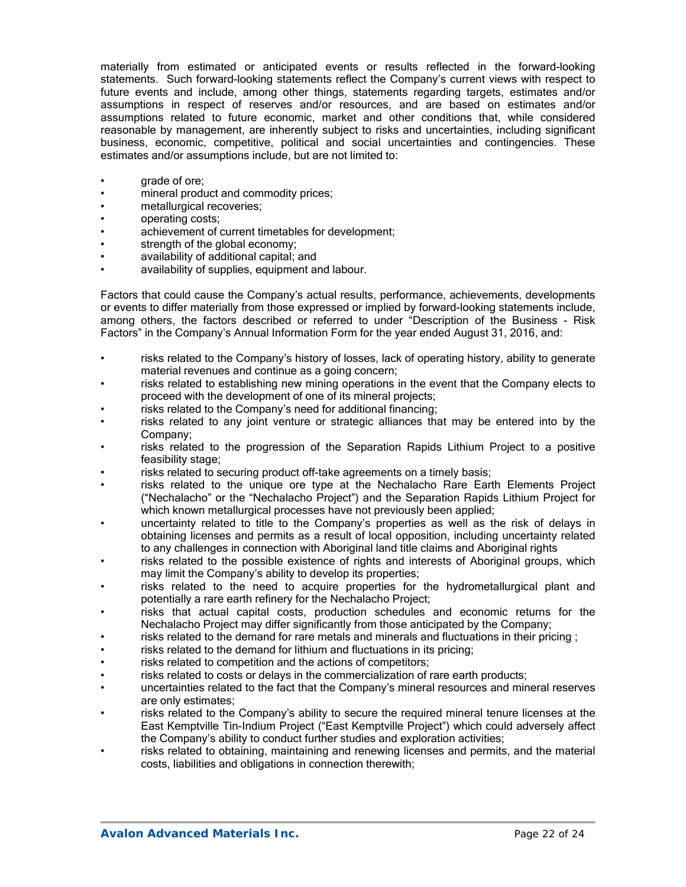materially from estimated or anticipated events or results reflected in the forward-looking statements. Such forward-looking statements reflect the Company's current views with respect to future events and include, among other things, statements regarding targets, estimates and/or assumptions in respect of reserves and/or resources, and are based on estimates and/or assumptions related to future economic, market and other conditions that, while considered reasonable by management, are inherently subject to risks and uncertainties, including significant business, economic, competitive, political and social uncertainties and contingencies. These estimates and/or assumptions include, but are not limited to:

- qrade of ore;
- mineral product and commodity prices;
- metallurgical recoveries;
- operating costs;
- achievement of current timetables for development;
- strength of the global economy;
- availability of additional capital; and
- availability of supplies, equipment and labour.

Factors that could cause the Company's actual results, performance, achievements, developments or events to differ materially from those expressed or implied by forward-looking statements include, among others, the factors described or referred to under "Description of the Business - Risk Factors" in the Company's Annual Information Form for the year ended August 31, 2016, and:

- risks related to the Company's history of losses, lack of operating history, ability to generate material revenues and continue as a going concern;
- risks related to establishing new mining operations in the event that the Company elects to proceed with the development of one of its mineral projects;
- risks related to the Company's need for additional financing;
- risks related to any joint venture or strategic alliances that may be entered into by the Company;
- risks related to the progression of the Separation Rapids Lithium Project to a positive feasibility stage;
- risks related to securing product off-take agreements on a timely basis;
- risks related to the unique ore type at the Nechalacho Rare Earth Elements Project ("Nechalacho" or the "Nechalacho Project") and the Separation Rapids Lithium Project for which known metallurgical processes have not previously been applied;
- uncertainty related to title to the Company's properties as well as the risk of delays in obtaining licenses and permits as a result of local opposition, including uncertainty related to any challenges in connection with Aboriginal land title claims and Aboriginal rights
- risks related to the possible existence of rights and interests of Aboriginal groups, which may limit the Company's ability to develop its properties;
- risks related to the need to acquire properties for the hydrometallurgical plant and potentially a rare earth refinery for the Nechalacho Project;
- risks that actual capital costs, production schedules and economic returns for the Nechalacho Project may differ significantly from those anticipated by the Company;
- risks related to the demand for rare metals and minerals and fluctuations in their pricing ;
- risks related to the demand for lithium and fluctuations in its pricing;
- risks related to competition and the actions of competitors;
- risks related to costs or delays in the commercialization of rare earth products;
- uncertainties related to the fact that the Company's mineral resources and mineral reserves are only estimates;
- risks related to the Company's ability to secure the required mineral tenure licenses at the East Kemptville Tin-Indium Project ("East Kemptville Project") which could adversely affect the Company's ability to conduct further studies and exploration activities;
- risks related to obtaining, maintaining and renewing licenses and permits, and the material costs, liabilities and obligations in connection therewith;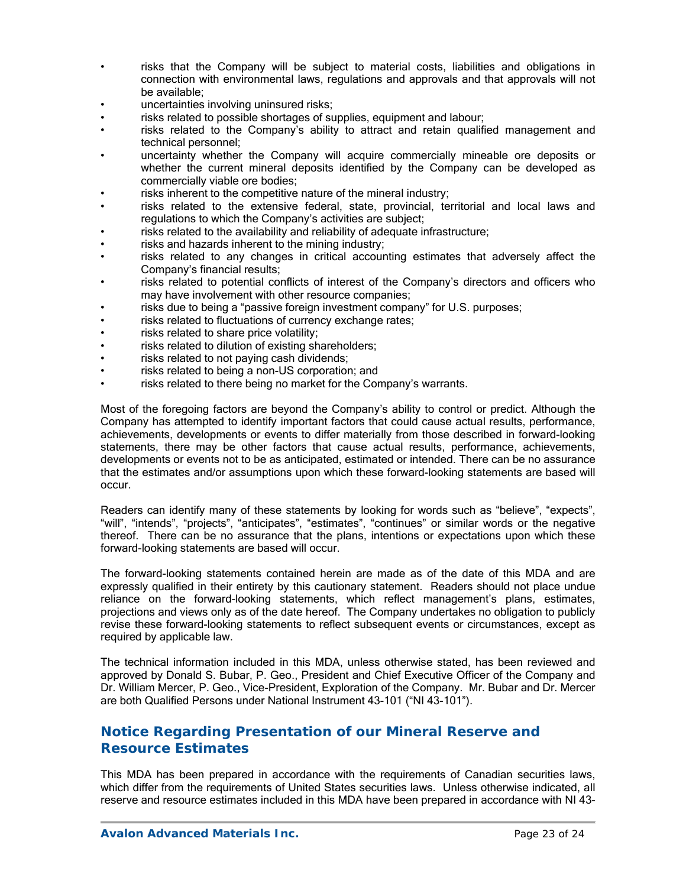- risks that the Company will be subject to material costs, liabilities and obligations in connection with environmental laws, regulations and approvals and that approvals will not be available;
- uncertainties involving uninsured risks;
- risks related to possible shortages of supplies, equipment and labour;
- risks related to the Company's ability to attract and retain qualified management and technical personnel;
- uncertainty whether the Company will acquire commercially mineable ore deposits or whether the current mineral deposits identified by the Company can be developed as commercially viable ore bodies;
- risks inherent to the competitive nature of the mineral industry;
- risks related to the extensive federal, state, provincial, territorial and local laws and regulations to which the Company's activities are subject;
- risks related to the availability and reliability of adequate infrastructure;
- risks and hazards inherent to the mining industry;
- risks related to any changes in critical accounting estimates that adversely affect the Company's financial results;
- risks related to potential conflicts of interest of the Company's directors and officers who may have involvement with other resource companies;
- risks due to being a "passive foreign investment company" for U.S. purposes;
- risks related to fluctuations of currency exchange rates;
- risks related to share price volatility;
- risks related to dilution of existing shareholders;
- risks related to not paying cash dividends;
- risks related to being a non-US corporation; and
- risks related to there being no market for the Company's warrants.

Most of the foregoing factors are beyond the Company's ability to control or predict. Although the Company has attempted to identify important factors that could cause actual results, performance, achievements, developments or events to differ materially from those described in forward-looking statements, there may be other factors that cause actual results, performance, achievements, developments or events not to be as anticipated, estimated or intended. There can be no assurance that the estimates and/or assumptions upon which these forward-looking statements are based will occur.

Readers can identify many of these statements by looking for words such as "believe", "expects", "will", "intends", "projects", "anticipates", "estimates", "continues" or similar words or the negative thereof. There can be no assurance that the plans, intentions or expectations upon which these forward-looking statements are based will occur.

The forward-looking statements contained herein are made as of the date of this MDA and are expressly qualified in their entirety by this cautionary statement. Readers should not place undue reliance on the forward-looking statements, which reflect management's plans, estimates, projections and views only as of the date hereof. The Company undertakes no obligation to publicly revise these forward-looking statements to reflect subsequent events or circumstances, except as required by applicable law.

The technical information included in this MDA, unless otherwise stated, has been reviewed and approved by Donald S. Bubar, P. Geo., President and Chief Executive Officer of the Company and Dr. William Mercer, P. Geo., Vice-President, Exploration of the Company. Mr. Bubar and Dr. Mercer are both Qualified Persons under National Instrument 43-101 ("NI 43-101").

# **Notice Regarding Presentation of our Mineral Reserve and Resource Estimates**

This MDA has been prepared in accordance with the requirements of Canadian securities laws, which differ from the requirements of United States securities laws. Unless otherwise indicated, all reserve and resource estimates included in this MDA have been prepared in accordance with NI 43-